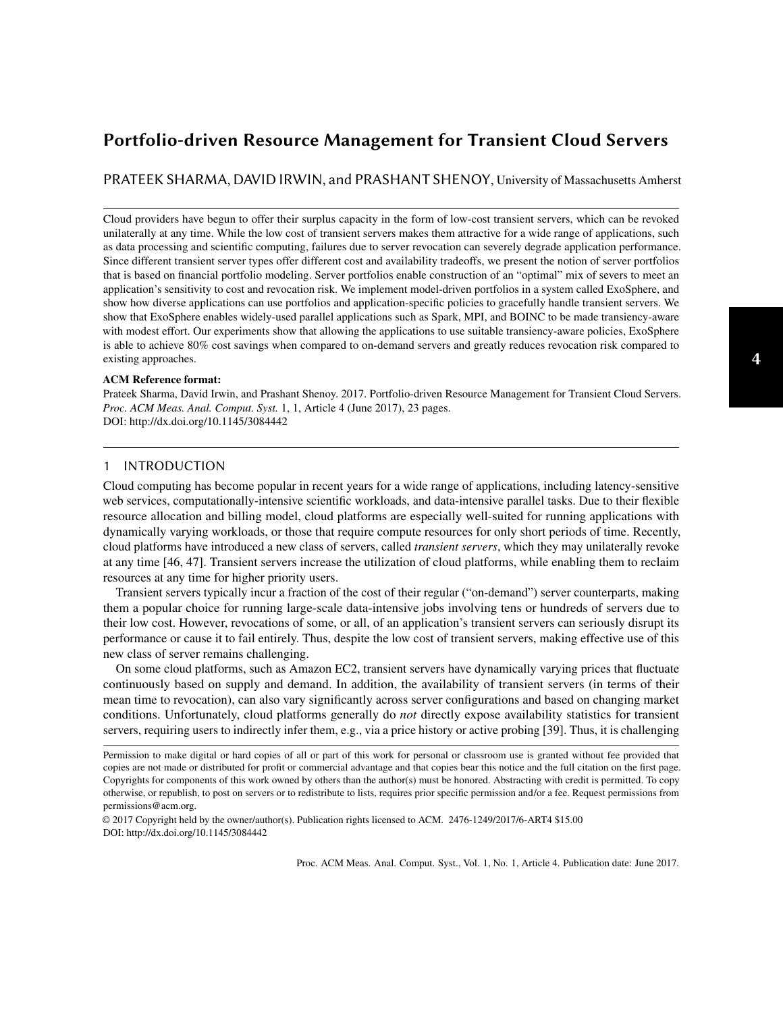# <span id="page-0-0"></span>Portfolio-driven Resource Management for Transient Cloud Servers

PRATEEK SHARMA, DAVID IRWIN, and PRASHANT SHENOY, University of Massachusetts Amherst

Cloud providers have begun to offer their surplus capacity in the form of low-cost transient servers, which can be revoked unilaterally at any time. While the low cost of transient servers makes them attractive for a wide range of applications, such as data processing and scientific computing, failures due to server revocation can severely degrade application performance. Since different transient server types offer different cost and availability tradeoffs, we present the notion of server portfolios that is based on financial portfolio modeling. Server portfolios enable construction of an "optimal" mix of severs to meet an application's sensitivity to cost and revocation risk. We implement model-driven portfolios in a system called ExoSphere, and show how diverse applications can use portfolios and application-specific policies to gracefully handle transient servers. We show that ExoSphere enables widely-used parallel applications such as Spark, MPI, and BOINC to be made transiency-aware with modest effort. Our experiments show that allowing the applications to use suitable transiency-aware policies, ExoSphere is able to achieve 80% cost savings when compared to on-demand servers and greatly reduces revocation risk compared to existing approaches.

#### ACM Reference format:

Prateek Sharma, David Irwin, and Prashant Shenoy. 2017. Portfolio-driven Resource Management for Transient Cloud Servers. *Proc. ACM Meas. Anal. Comput. Syst.* 1, 1, Article 4 (June 2017), [23](#page-22-0) pages. DOI: http://dx.doi.org/10.1145/3084442

# 1 INTRODUCTION

Cloud computing has become popular in recent years for a wide range of applications, including latency-sensitive web services, computationally-intensive scientific workloads, and data-intensive parallel tasks. Due to their flexible resource allocation and billing model, cloud platforms are especially well-suited for running applications with dynamically varying workloads, or those that require compute resources for only short periods of time. Recently, cloud platforms have introduced a new class of servers, called *transient servers*, which they may unilaterally revoke at any time [\[46,](#page-21-0) [47\]](#page-21-1). Transient servers increase the utilization of cloud platforms, while enabling them to reclaim resources at any time for higher priority users.

Transient servers typically incur a fraction of the cost of their regular ("on-demand") server counterparts, making them a popular choice for running large-scale data-intensive jobs involving tens or hundreds of servers due to their low cost. However, revocations of some, or all, of an application's transient servers can seriously disrupt its performance or cause it to fail entirely. Thus, despite the low cost of transient servers, making effective use of this new class of server remains challenging.

On some cloud platforms, such as Amazon EC2, transient servers have dynamically varying prices that fluctuate continuously based on supply and demand. In addition, the availability of transient servers (in terms of their mean time to revocation), can also vary significantly across server configurations and based on changing market conditions. Unfortunately, cloud platforms generally do *not* directly expose availability statistics for transient servers, requiring users to indirectly infer them, e.g., via a price history or active probing [\[39\]](#page-21-2). Thus, it is challenging

© 2017 Copyright held by the owner/author(s). Publication rights licensed to ACM. 2476-1249/2017/6-ART4 \$15.00 DOI: http://dx.doi.org/10.1145/3084442

Permission to make digital or hard copies of all or part of this work for personal or classroom use is granted without fee provided that copies are not made or distributed for profit or commercial advantage and that copies bear this notice and the full citation on the first page. Copyrights for components of this work owned by others than the author(s) must be honored. Abstracting with credit is permitted. To copy otherwise, or republish, to post on servers or to redistribute to lists, requires prior specific permission and/or a fee. Request permissions from permissions@acm.org.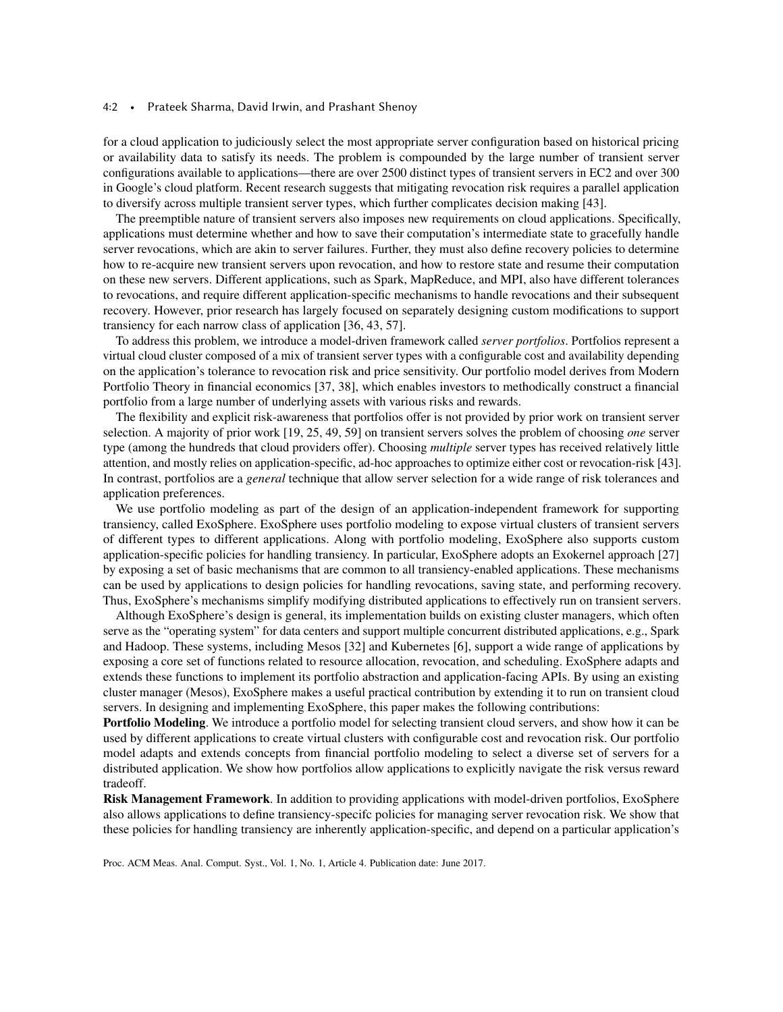#### 4:2 • Prateek Sharma, David Irwin, and Prashant Shenoy

for a cloud application to judiciously select the most appropriate server configuration based on historical pricing or availability data to satisfy its needs. The problem is compounded by the large number of transient server configurations available to applications—there are over 2500 distinct types of transient servers in EC2 and over 300 in Google's cloud platform. Recent research suggests that mitigating revocation risk requires a parallel application to diversify across multiple transient server types, which further complicates decision making [\[43\]](#page-21-3).

The preemptible nature of transient servers also imposes new requirements on cloud applications. Specifically, applications must determine whether and how to save their computation's intermediate state to gracefully handle server revocations, which are akin to server failures. Further, they must also define recovery policies to determine how to re-acquire new transient servers upon revocation, and how to restore state and resume their computation on these new servers. Different applications, such as Spark, MapReduce, and MPI, also have different tolerances to revocations, and require different application-specific mechanisms to handle revocations and their subsequent recovery. However, prior research has largely focused on separately designing custom modifications to support transiency for each narrow class of application [\[36,](#page-21-4) [43,](#page-21-3) [57\]](#page-22-1).

To address this problem, we introduce a model-driven framework called *server portfolios*. Portfolios represent a virtual cloud cluster composed of a mix of transient server types with a configurable cost and availability depending on the application's tolerance to revocation risk and price sensitivity. Our portfolio model derives from Modern Portfolio Theory in financial economics [\[37,](#page-21-5) [38\]](#page-21-6), which enables investors to methodically construct a financial portfolio from a large number of underlying assets with various risks and rewards.

The flexibility and explicit risk-awareness that portfolios offer is not provided by prior work on transient server selection. A majority of prior work [\[19,](#page-20-0) [25,](#page-20-1) [49,](#page-21-7) [59\]](#page-22-2) on transient servers solves the problem of choosing *one* server type (among the hundreds that cloud providers offer). Choosing *multiple* server types has received relatively little attention, and mostly relies on application-specific, ad-hoc approaches to optimize either cost or revocation-risk [\[43\]](#page-21-3). In contrast, portfolios are a *general* technique that allow server selection for a wide range of risk tolerances and application preferences.

We use portfolio modeling as part of the design of an application-independent framework for supporting transiency, called ExoSphere. ExoSphere uses portfolio modeling to expose virtual clusters of transient servers of different types to different applications. Along with portfolio modeling, ExoSphere also supports custom application-specific policies for handling transiency. In particular, ExoSphere adopts an Exokernel approach [\[27\]](#page-21-8) by exposing a set of basic mechanisms that are common to all transiency-enabled applications. These mechanisms can be used by applications to design policies for handling revocations, saving state, and performing recovery. Thus, ExoSphere's mechanisms simplify modifying distributed applications to effectively run on transient servers.

Although ExoSphere's design is general, its implementation builds on existing cluster managers, which often serve as the "operating system" for data centers and support multiple concurrent distributed applications, e.g., Spark and Hadoop. These systems, including Mesos [\[32\]](#page-21-9) and Kubernetes [\[6\]](#page-20-2), support a wide range of applications by exposing a core set of functions related to resource allocation, revocation, and scheduling. ExoSphere adapts and extends these functions to implement its portfolio abstraction and application-facing APIs. By using an existing cluster manager (Mesos), ExoSphere makes a useful practical contribution by extending it to run on transient cloud servers. In designing and implementing ExoSphere, this paper makes the following contributions:

Portfolio Modeling. We introduce a portfolio model for selecting transient cloud servers, and show how it can be used by different applications to create virtual clusters with configurable cost and revocation risk. Our portfolio model adapts and extends concepts from financial portfolio modeling to select a diverse set of servers for a distributed application. We show how portfolios allow applications to explicitly navigate the risk versus reward tradeoff.

Risk Management Framework. In addition to providing applications with model-driven portfolios, ExoSphere also allows applications to define transiency-specifc policies for managing server revocation risk. We show that these policies for handling transiency are inherently application-specific, and depend on a particular application's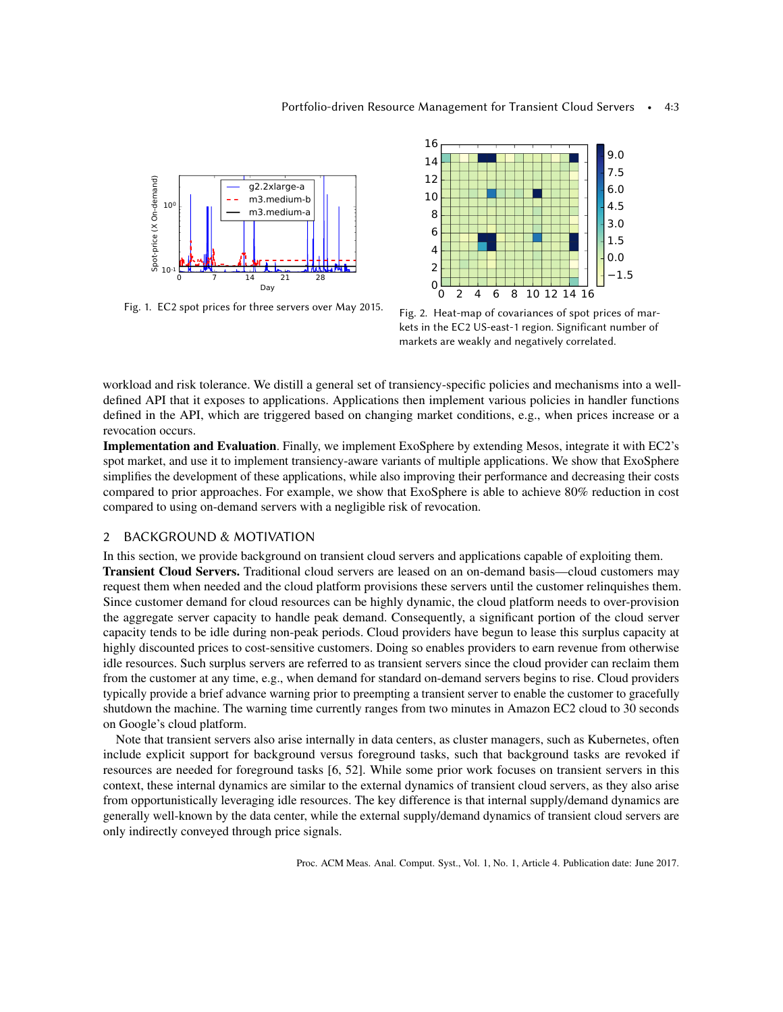<span id="page-2-0"></span>

Fig. 1. EC2 spot prices for three servers over May 2015.



Fig. 2. Heat-map of covariances of spot prices of markets in the EC2 US-east-1 region. Significant number of markets are weakly and negatively correlated.

workload and risk tolerance. We distill a general set of transiency-specific policies and mechanisms into a welldefined API that it exposes to applications. Applications then implement various policies in handler functions defined in the API, which are triggered based on changing market conditions, e.g., when prices increase or a revocation occurs.

Implementation and Evaluation. Finally, we implement ExoSphere by extending Mesos, integrate it with EC2's spot market, and use it to implement transiency-aware variants of multiple applications. We show that ExoSphere simplifies the development of these applications, while also improving their performance and decreasing their costs compared to prior approaches. For example, we show that ExoSphere is able to achieve 80% reduction in cost compared to using on-demand servers with a negligible risk of revocation.

# 2 BACKGROUND & MOTIVATION

In this section, we provide background on transient cloud servers and applications capable of exploiting them. Transient Cloud Servers. Traditional cloud servers are leased on an on-demand basis—cloud customers may request them when needed and the cloud platform provisions these servers until the customer relinquishes them. Since customer demand for cloud resources can be highly dynamic, the cloud platform needs to over-provision the aggregate server capacity to handle peak demand. Consequently, a significant portion of the cloud server capacity tends to be idle during non-peak periods. Cloud providers have begun to lease this surplus capacity at highly discounted prices to cost-sensitive customers. Doing so enables providers to earn revenue from otherwise idle resources. Such surplus servers are referred to as transient servers since the cloud provider can reclaim them from the customer at any time, e.g., when demand for standard on-demand servers begins to rise. Cloud providers typically provide a brief advance warning prior to preempting a transient server to enable the customer to gracefully shutdown the machine. The warning time currently ranges from two minutes in Amazon EC2 cloud to 30 seconds on Google's cloud platform.

Note that transient servers also arise internally in data centers, as cluster managers, such as Kubernetes, often include explicit support for background versus foreground tasks, such that background tasks are revoked if resources are needed for foreground tasks [\[6,](#page-20-2) [52\]](#page-21-10). While some prior work focuses on transient servers in this context, these internal dynamics are similar to the external dynamics of transient cloud servers, as they also arise from opportunistically leveraging idle resources. The key difference is that internal supply/demand dynamics are generally well-known by the data center, while the external supply/demand dynamics of transient cloud servers are only indirectly conveyed through price signals.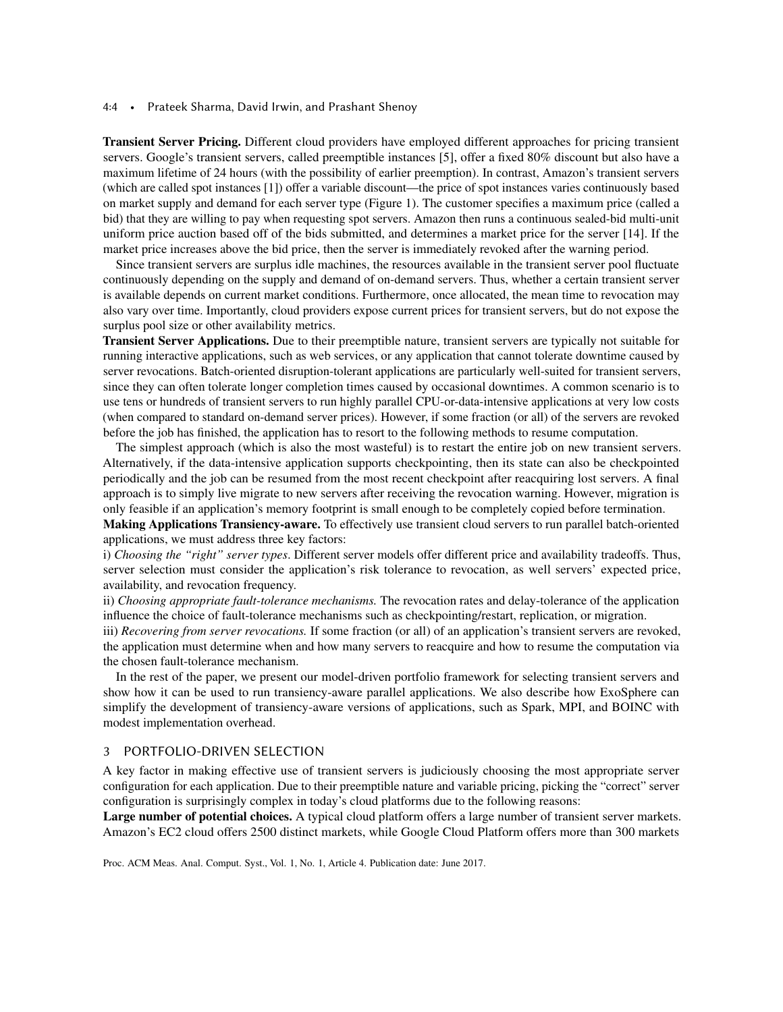#### 4:4 • Prateek Sharma, David Irwin, and Prashant Shenoy

Transient Server Pricing. Different cloud providers have employed different approaches for pricing transient servers. Google's transient servers, called preemptible instances [\[5\]](#page-20-3), offer a fixed 80% discount but also have a maximum lifetime of 24 hours (with the possibility of earlier preemption). In contrast, Amazon's transient servers (which are called spot instances [\[1\]](#page-20-4)) offer a variable discount—the price of spot instances varies continuously based on market supply and demand for each server type (Figure [1\)](#page-2-0). The customer specifies a maximum price (called a bid) that they are willing to pay when requesting spot servers. Amazon then runs a continuous sealed-bid multi-unit uniform price auction based off of the bids submitted, and determines a market price for the server [\[14\]](#page-20-5). If the market price increases above the bid price, then the server is immediately revoked after the warning period.

Since transient servers are surplus idle machines, the resources available in the transient server pool fluctuate continuously depending on the supply and demand of on-demand servers. Thus, whether a certain transient server is available depends on current market conditions. Furthermore, once allocated, the mean time to revocation may also vary over time. Importantly, cloud providers expose current prices for transient servers, but do not expose the surplus pool size or other availability metrics.

Transient Server Applications. Due to their preemptible nature, transient servers are typically not suitable for running interactive applications, such as web services, or any application that cannot tolerate downtime caused by server revocations. Batch-oriented disruption-tolerant applications are particularly well-suited for transient servers, since they can often tolerate longer completion times caused by occasional downtimes. A common scenario is to use tens or hundreds of transient servers to run highly parallel CPU-or-data-intensive applications at very low costs (when compared to standard on-demand server prices). However, if some fraction (or all) of the servers are revoked before the job has finished, the application has to resort to the following methods to resume computation.

The simplest approach (which is also the most wasteful) is to restart the entire job on new transient servers. Alternatively, if the data-intensive application supports checkpointing, then its state can also be checkpointed periodically and the job can be resumed from the most recent checkpoint after reacquiring lost servers. A final approach is to simply live migrate to new servers after receiving the revocation warning. However, migration is only feasible if an application's memory footprint is small enough to be completely copied before termination.

Making Applications Transiency-aware. To effectively use transient cloud servers to run parallel batch-oriented applications, we must address three key factors:

i) *Choosing the "right" server types*. Different server models offer different price and availability tradeoffs. Thus, server selection must consider the application's risk tolerance to revocation, as well servers' expected price, availability, and revocation frequency.

ii) *Choosing appropriate fault-tolerance mechanisms.* The revocation rates and delay-tolerance of the application influence the choice of fault-tolerance mechanisms such as checkpointing/restart, replication, or migration.

iii) *Recovering from server revocations*. If some fraction (or all) of an application's transient servers are revoked, the application must determine when and how many servers to reacquire and how to resume the computation via the chosen fault-tolerance mechanism.

In the rest of the paper, we present our model-driven portfolio framework for selecting transient servers and show how it can be used to run transiency-aware parallel applications. We also describe how ExoSphere can simplify the development of transiency-aware versions of applications, such as Spark, MPI, and BOINC with modest implementation overhead.

## 3 PORTFOLIO-DRIVEN SELECTION

A key factor in making effective use of transient servers is judiciously choosing the most appropriate server configuration for each application. Due to their preemptible nature and variable pricing, picking the "correct" server configuration is surprisingly complex in today's cloud platforms due to the following reasons:

Large number of potential choices. A typical cloud platform offers a large number of transient server markets. Amazon's EC2 cloud offers 2500 distinct markets, while Google Cloud Platform offers more than 300 markets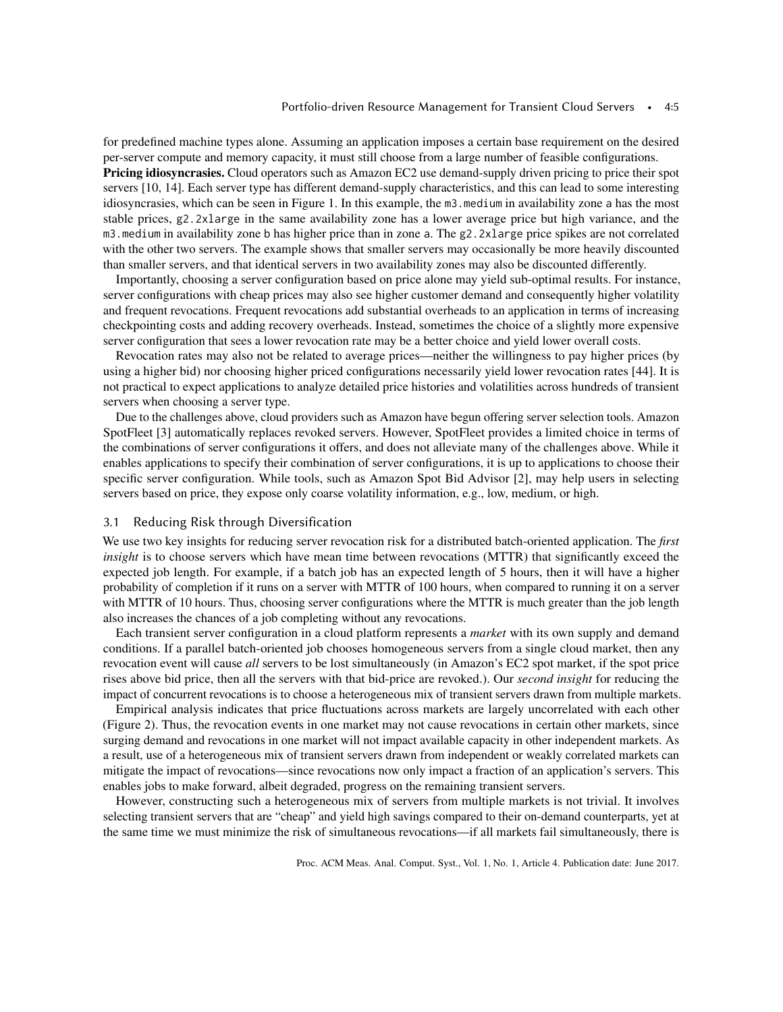for predefined machine types alone. Assuming an application imposes a certain base requirement on the desired per-server compute and memory capacity, it must still choose from a large number of feasible configurations.

Pricing idiosyncrasies. Cloud operators such as Amazon EC2 use demand-supply driven pricing to price their spot servers [\[10,](#page-20-6) [14\]](#page-20-5). Each server type has different demand-supply characteristics, and this can lead to some interesting idiosyncrasies, which can be seen in Figure [1.](#page-2-0) In this example, the m3.medium in availability zone a has the most stable prices, g2.2xlarge in the same availability zone has a lower average price but high variance, and the m3.medium in availability zone b has higher price than in zone a. The g2.2xlarge price spikes are not correlated with the other two servers. The example shows that smaller servers may occasionally be more heavily discounted than smaller servers, and that identical servers in two availability zones may also be discounted differently.

Importantly, choosing a server configuration based on price alone may yield sub-optimal results. For instance, server configurations with cheap prices may also see higher customer demand and consequently higher volatility and frequent revocations. Frequent revocations add substantial overheads to an application in terms of increasing checkpointing costs and adding recovery overheads. Instead, sometimes the choice of a slightly more expensive server configuration that sees a lower revocation rate may be a better choice and yield lower overall costs.

Revocation rates may also not be related to average prices—neither the willingness to pay higher prices (by using a higher bid) nor choosing higher priced configurations necessarily yield lower revocation rates [\[44\]](#page-21-11). It is not practical to expect applications to analyze detailed price histories and volatilities across hundreds of transient servers when choosing a server type.

Due to the challenges above, cloud providers such as Amazon have begun offering server selection tools. Amazon SpotFleet [\[3\]](#page-20-7) automatically replaces revoked servers. However, SpotFleet provides a limited choice in terms of the combinations of server configurations it offers, and does not alleviate many of the challenges above. While it enables applications to specify their combination of server configurations, it is up to applications to choose their specific server configuration. While tools, such as Amazon Spot Bid Advisor [\[2\]](#page-20-8), may help users in selecting servers based on price, they expose only coarse volatility information, e.g., low, medium, or high.

## 3.1 Reducing Risk through Diversification

We use two key insights for reducing server revocation risk for a distributed batch-oriented application. The *first insight* is to choose servers which have mean time between revocations (MTTR) that significantly exceed the expected job length. For example, if a batch job has an expected length of 5 hours, then it will have a higher probability of completion if it runs on a server with MTTR of 100 hours, when compared to running it on a server with MTTR of 10 hours. Thus, choosing server configurations where the MTTR is much greater than the job length also increases the chances of a job completing without any revocations.

Each transient server configuration in a cloud platform represents a *market* with its own supply and demand conditions. If a parallel batch-oriented job chooses homogeneous servers from a single cloud market, then any revocation event will cause *all* servers to be lost simultaneously (in Amazon's EC2 spot market, if the spot price rises above bid price, then all the servers with that bid-price are revoked.). Our *second insight* for reducing the impact of concurrent revocations is to choose a heterogeneous mix of transient servers drawn from multiple markets.

Empirical analysis indicates that price fluctuations across markets are largely uncorrelated with each other (Figure [2\)](#page-2-0). Thus, the revocation events in one market may not cause revocations in certain other markets, since surging demand and revocations in one market will not impact available capacity in other independent markets. As a result, use of a heterogeneous mix of transient servers drawn from independent or weakly correlated markets can mitigate the impact of revocations—since revocations now only impact a fraction of an application's servers. This enables jobs to make forward, albeit degraded, progress on the remaining transient servers.

However, constructing such a heterogeneous mix of servers from multiple markets is not trivial. It involves selecting transient servers that are "cheap" and yield high savings compared to their on-demand counterparts, yet at the same time we must minimize the risk of simultaneous revocations—if all markets fail simultaneously, there is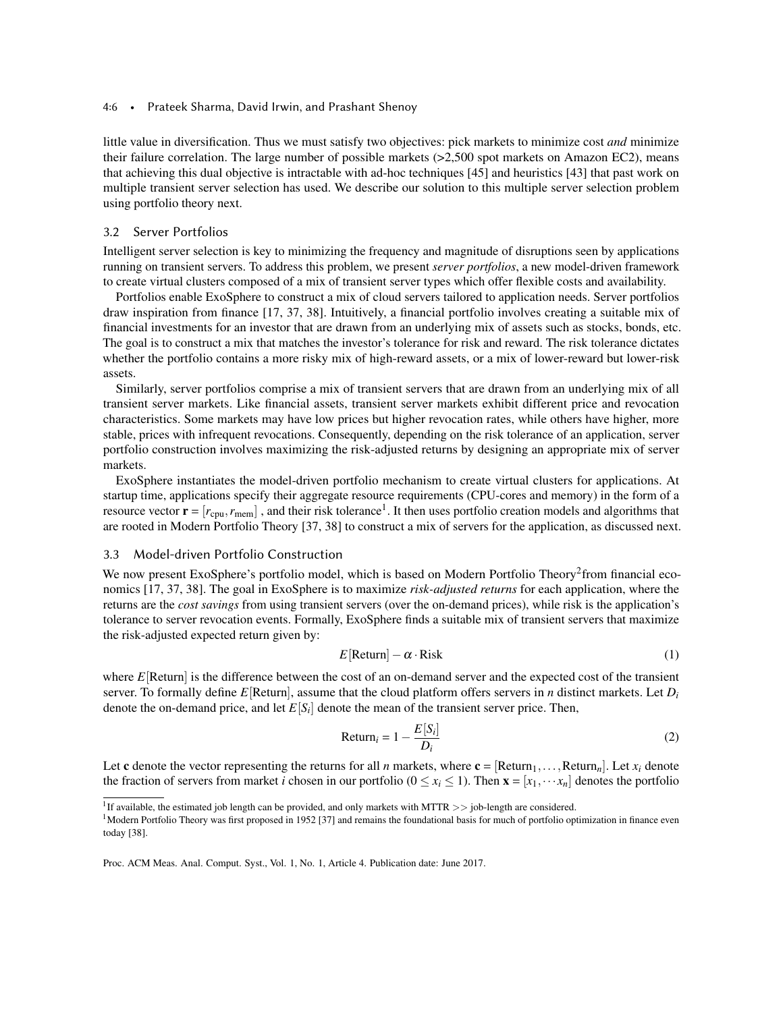#### 4:6 • Prateek Sharma, David Irwin, and Prashant Shenoy

little value in diversification. Thus we must satisfy two objectives: pick markets to minimize cost *and* minimize their failure correlation. The large number of possible markets (>2,500 spot markets on Amazon EC2), means that achieving this dual objective is intractable with ad-hoc techniques [\[45\]](#page-21-12) and heuristics [\[43\]](#page-21-3) that past work on multiple transient server selection has used. We describe our solution to this multiple server selection problem using portfolio theory next.

# 3.2 Server Portfolios

Intelligent server selection is key to minimizing the frequency and magnitude of disruptions seen by applications running on transient servers. To address this problem, we present *server portfolios*, a new model-driven framework to create virtual clusters composed of a mix of transient server types which offer flexible costs and availability.

Portfolios enable ExoSphere to construct a mix of cloud servers tailored to application needs. Server portfolios draw inspiration from finance [\[17,](#page-20-9) [37,](#page-21-5) [38\]](#page-21-6). Intuitively, a financial portfolio involves creating a suitable mix of financial investments for an investor that are drawn from an underlying mix of assets such as stocks, bonds, etc. The goal is to construct a mix that matches the investor's tolerance for risk and reward. The risk tolerance dictates whether the portfolio contains a more risky mix of high-reward assets, or a mix of lower-reward but lower-risk assets.

Similarly, server portfolios comprise a mix of transient servers that are drawn from an underlying mix of all transient server markets. Like financial assets, transient server markets exhibit different price and revocation characteristics. Some markets may have low prices but higher revocation rates, while others have higher, more stable, prices with infrequent revocations. Consequently, depending on the risk tolerance of an application, server portfolio construction involves maximizing the risk-adjusted returns by designing an appropriate mix of server markets.

ExoSphere instantiates the model-driven portfolio mechanism to create virtual clusters for applications. At startup time, applications specify their aggregate resource requirements (CPU-cores and memory) in the form of a resource vector  $\mathbf{r} = [r_{\text{cpu}}, r_{\text{mem}}]$ , and their risk tolerance<sup>[1](#page-5-0)</sup>. It then uses portfolio creation models and algorithms that are rooted in Modern Portfolio Theory [\[37,](#page-21-5) [38\]](#page-21-6) to construct a mix of servers for the application, as discussed next.

# 3.3 Model-driven Portfolio Construction

We now present ExoSphere's portfolio model, which is based on Modern Portfolio Theory<sup>[2](#page-0-0)</sup> from financial economics [\[17,](#page-20-9) [37,](#page-21-5) [38\]](#page-21-6). The goal in ExoSphere is to maximize *risk-adjusted returns* for each application, where the returns are the *cost savings* from using transient servers (over the on-demand prices), while risk is the application's tolerance to server revocation events. Formally, ExoSphere finds a suitable mix of transient servers that maximize the risk-adjusted expected return given by:

<span id="page-5-1"></span>
$$
E[\text{Return}] - \alpha \cdot \text{Risk} \tag{1}
$$

where *E*[Return] is the difference between the cost of an on-demand server and the expected cost of the transient server. To formally define *E*[Return], assume that the cloud platform offers servers in *n* distinct markets. Let  $D_i$ denote the on-demand price, and let *E*[*S<sup>i</sup>* ] denote the mean of the transient server price. Then,

$$
Return_i = 1 - \frac{E[S_i]}{D_i}
$$
 (2)

Let c denote the vector representing the returns for all *n* markets, where  $c = [Return_1, ..., Return_n]$ . Let  $x_i$  denote the fraction of servers from market *i* chosen in our portfolio ( $0 \le x_i \le 1$ ). Then  $\mathbf{x} = [x_1, \dots, x_n]$  denotes the portfolio

<span id="page-5-0"></span><sup>&</sup>lt;sup>1</sup>If available, the estimated job length can be provided, and only markets with MTTR  $>>$  job-length are considered.

<sup>&</sup>lt;sup>1</sup>Modern Portfolio Theory was first proposed in 1952 [\[37\]](#page-21-5) and remains the foundational basis for much of portfolio optimization in finance even today [\[38\]](#page-21-6).

Proc. ACM Meas. Anal. Comput. Syst., Vol. 1, No. 1, Article 4. Publication date: June 2017.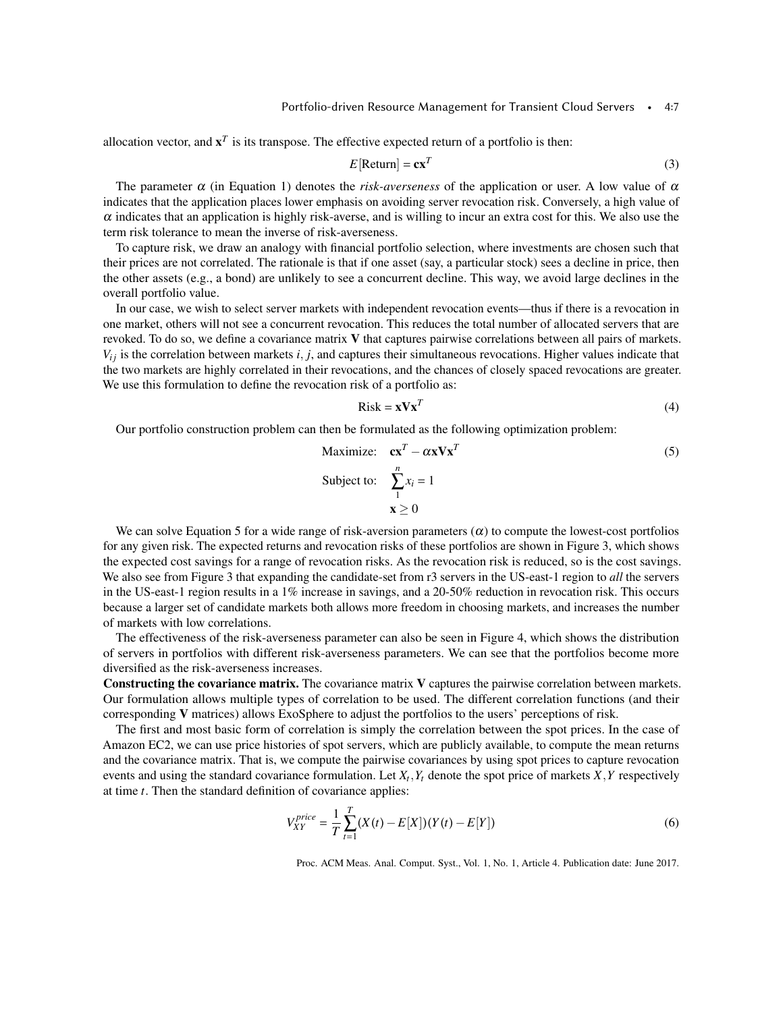allocation vector, and  $\mathbf{x}^T$  is its transpose. The effective expected return of a portfolio is then:

$$
E[\text{Return}] = \mathbf{c}\mathbf{x}^T \tag{3}
$$

The parameter  $\alpha$  (in Equation [1\)](#page-5-1) denotes the *risk-averseness* of the application or user. A low value of  $\alpha$ indicates that the application places lower emphasis on avoiding server revocation risk. Conversely, a high value of  $\alpha$  indicates that an application is highly risk-averse, and is willing to incur an extra cost for this. We also use the term risk tolerance to mean the inverse of risk-averseness.

To capture risk, we draw an analogy with financial portfolio selection, where investments are chosen such that their prices are not correlated. The rationale is that if one asset (say, a particular stock) sees a decline in price, then the other assets (e.g., a bond) are unlikely to see a concurrent decline. This way, we avoid large declines in the overall portfolio value.

In our case, we wish to select server markets with independent revocation events—thus if there is a revocation in one market, others will not see a concurrent revocation. This reduces the total number of allocated servers that are revoked. To do so, we define a covariance matrix V that captures pairwise correlations between all pairs of markets.  $V_{ij}$  is the correlation between markets *i*, *j*, and captures their simultaneous revocations. Higher values indicate that the two markets are highly correlated in their revocations, and the chances of closely spaced revocations are greater. We use this formulation to define the revocation risk of a portfolio as:

<span id="page-6-0"></span>
$$
Risk = \mathbf{x} \mathbf{V} \mathbf{x}^T \tag{4}
$$

Our portfolio construction problem can then be formulated as the following optimization problem:

Maximize: 
$$
\mathbf{c}\mathbf{x}^T - \alpha \mathbf{x} \mathbf{V} \mathbf{x}^T
$$
 (5)  
Subject to:  $\sum_{1}^{n} x_i = 1$   
 $\mathbf{x} \ge 0$ 

We can solve Equation [5](#page-6-0) for a wide range of risk-aversion parameters  $(\alpha)$  to compute the lowest-cost portfolios for any given risk. The expected returns and revocation risks of these portfolios are shown in Figure [3,](#page-7-0) which shows the expected cost savings for a range of revocation risks. As the revocation risk is reduced, so is the cost savings. We also see from Figure [3](#page-7-0) that expanding the candidate-set from r3 servers in the US-east-1 region to *all* the servers in the US-east-1 region results in a 1% increase in savings, and a 20-50% reduction in revocation risk. This occurs because a larger set of candidate markets both allows more freedom in choosing markets, and increases the number of markets with low correlations.

The effectiveness of the risk-averseness parameter can also be seen in Figure [4,](#page-7-0) which shows the distribution of servers in portfolios with different risk-averseness parameters. We can see that the portfolios become more diversified as the risk-averseness increases.

Constructing the covariance matrix. The covariance matrix V captures the pairwise correlation between markets. Our formulation allows multiple types of correlation to be used. The different correlation functions (and their corresponding V matrices) allows ExoSphere to adjust the portfolios to the users' perceptions of risk.

The first and most basic form of correlation is simply the correlation between the spot prices. In the case of Amazon EC2, we can use price histories of spot servers, which are publicly available, to compute the mean returns and the covariance matrix. That is, we compute the pairwise covariances by using spot prices to capture revocation events and using the standard covariance formulation. Let *X<sup>t</sup>* ,*Y<sup>t</sup>* denote the spot price of markets *X*,*Y* respectively at time *t*. Then the standard definition of covariance applies:

$$
V_{XY}^{price} = \frac{1}{T} \sum_{t=1}^{T} (X(t) - E[X])(Y(t) - E[Y])
$$
\n(6)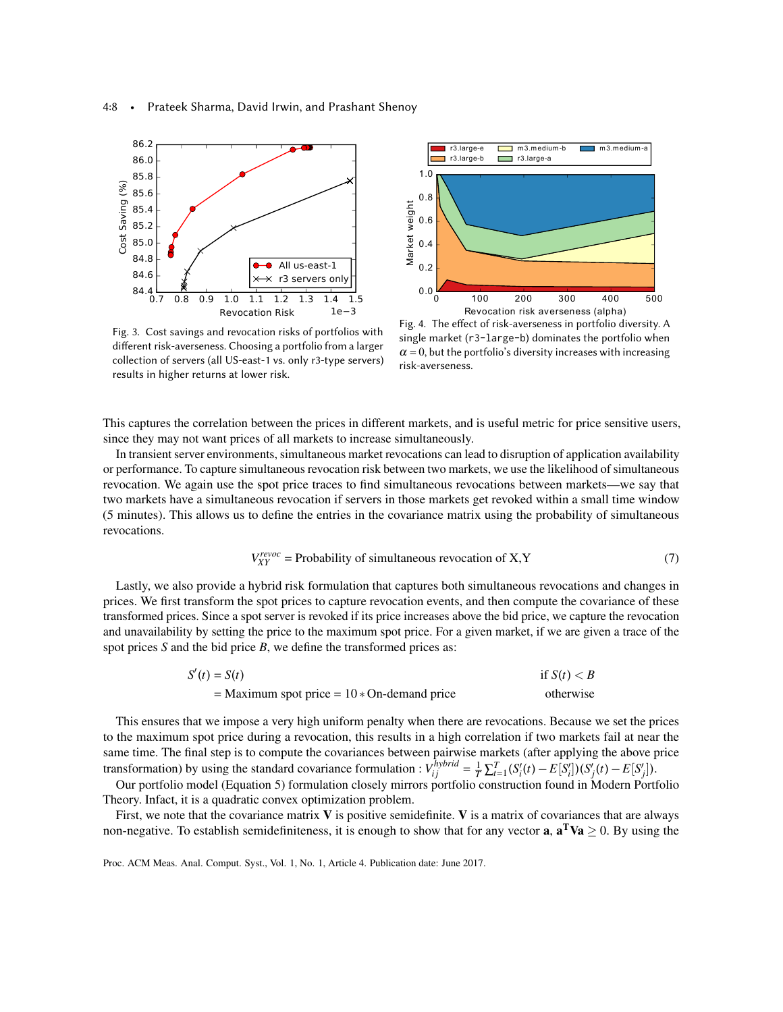<span id="page-7-0"></span>



Fig. 3. Cost savings and revocation risks of portfolios with different risk-averseness. Choosing a portfolio from a larger collection of servers (all US-east-1 vs. only r3-type servers) results in higher returns at lower risk.

Fig. 4. The effect of risk-averseness in portfolio diversity. A single market (r3-large-b) dominates the portfolio when  $\alpha$  = 0, but the portfolio's diversity increases with increasing risk-averseness.

This captures the correlation between the prices in different markets, and is useful metric for price sensitive users, since they may not want prices of all markets to increase simultaneously.

In transient server environments, simultaneous market revocations can lead to disruption of application availability or performance. To capture simultaneous revocation risk between two markets, we use the likelihood of simultaneous revocation. We again use the spot price traces to find simultaneous revocations between markets—we say that two markets have a simultaneous revocation if servers in those markets get revoked within a small time window (5 minutes). This allows us to define the entries in the covariance matrix using the probability of simultaneous revocations.

$$
V_{XY}^{revoc} = \text{Probability of simultaneous revocation of X, Y} \tag{7}
$$

Lastly, we also provide a hybrid risk formulation that captures both simultaneous revocations and changes in prices. We first transform the spot prices to capture revocation events, and then compute the covariance of these transformed prices. Since a spot server is revoked if its price increases above the bid price, we capture the revocation and unavailability by setting the price to the maximum spot price. For a given market, if we are given a trace of the spot prices *S* and the bid price *B*, we define the transformed prices as:

$$
S'(t) = S(t)
$$
if  $S(t) < B$   
= Maximum spot price = 10 \* On-demand price otherwise

This ensures that we impose a very high uniform penalty when there are revocations. Because we set the prices to the maximum spot price during a revocation, this results in a high correlation if two markets fail at near the same time. The final step is to compute the covariances between pairwise markets (after applying the above price transformation) by using the standard covariance formulation :  $V_{ij}^{hybrid} = \frac{1}{T} \sum_{t=1}^{T} (S_i'(t) - E[S_i']) (S_j'(t) - E[S_j'])$ .

Our portfolio model (Equation [5\)](#page-6-0) formulation closely mirrors portfolio construction found in Modern Portfolio Theory. Infact, it is a quadratic convex optimization problem.

First, we note that the covariance matrix  $V$  is positive semidefinite.  $V$  is a matrix of covariances that are always non-negative. To establish semidefiniteness, it is enough to show that for any vector **a**,  $\mathbf{a}^T \mathbf{V} \mathbf{a} \geq 0$ . By using the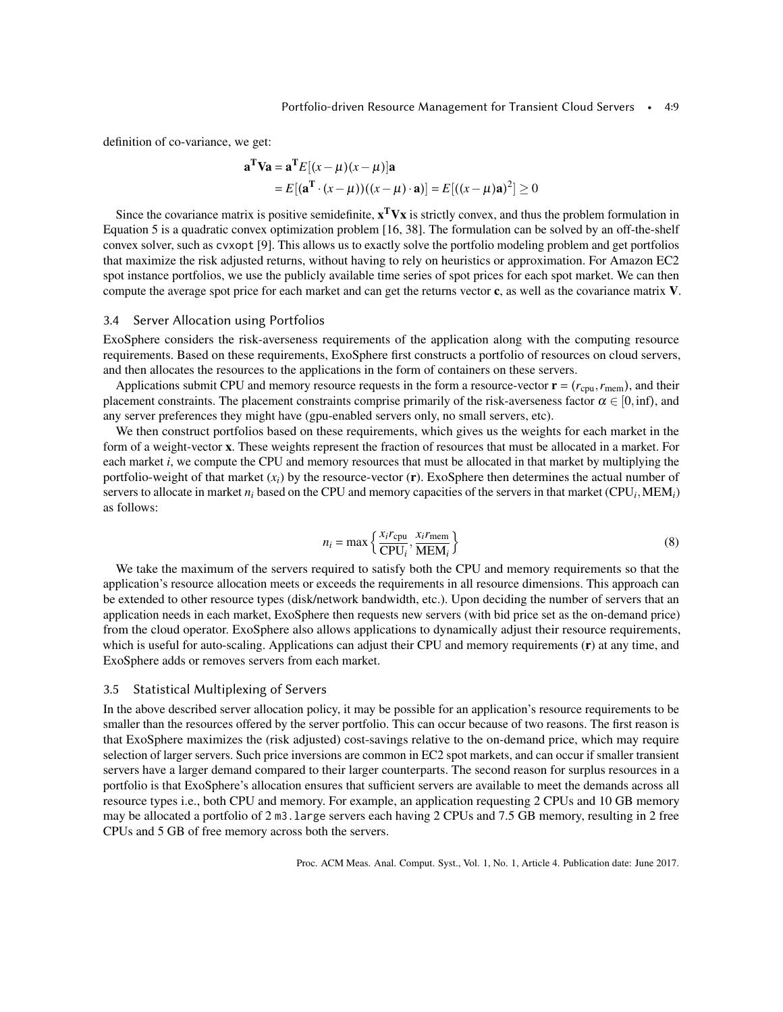definition of co-variance, we get:

$$
\mathbf{a}^{\mathrm{T}}\mathbf{V}\mathbf{a} = \mathbf{a}^{\mathrm{T}}E[(x-\mu)(x-\mu)]\mathbf{a}
$$
  
=  $E[(\mathbf{a}^{\mathrm{T}}\cdot(x-\mu))((x-\mu)\cdot\mathbf{a})] = E[((x-\mu)\mathbf{a})^2] \ge 0$ 

Since the covariance matrix is positive semidefinite,  $x^T V x$  is strictly convex, and thus the problem formulation in Equation [5](#page-6-0) is a quadratic convex optimization problem [\[16,](#page-20-10) [38\]](#page-21-6). The formulation can be solved by an off-the-shelf convex solver, such as cvxopt [\[9\]](#page-20-11). This allows us to exactly solve the portfolio modeling problem and get portfolios that maximize the risk adjusted returns, without having to rely on heuristics or approximation. For Amazon EC2 spot instance portfolios, we use the publicly available time series of spot prices for each spot market. We can then compute the average spot price for each market and can get the returns vector c, as well as the covariance matrix V.

### 3.4 Server Allocation using Portfolios

ExoSphere considers the risk-averseness requirements of the application along with the computing resource requirements. Based on these requirements, ExoSphere first constructs a portfolio of resources on cloud servers, and then allocates the resources to the applications in the form of containers on these servers.

Applications submit CPU and memory resource requests in the form a resource-vector  $\mathbf{r} = (r_{cpu}, r_{mem})$ , and their placement constraints. The placement constraints comprise primarily of the risk-averseness factor  $\alpha \in [0, \text{inf})$ , and any server preferences they might have (gpu-enabled servers only, no small servers, etc).

We then construct portfolios based on these requirements, which gives us the weights for each market in the form of a weight-vector x. These weights represent the fraction of resources that must be allocated in a market. For each market *i*, we compute the CPU and memory resources that must be allocated in that market by multiplying the portfolio-weight of that market  $(x_i)$  by the resource-vector  $(r)$ . ExoSphere then determines the actual number of servers to allocate in market  $n_i$  based on the CPU and memory capacities of the servers in that market (CPU<sub>i</sub>, MEM<sub>i</sub>) as follows:

<span id="page-8-0"></span>
$$
n_i = \max\left\{\frac{x_i r_{\text{cpu}}}{\text{CPU}_i}, \frac{x_i r_{\text{mem}}}{\text{MEM}_i}\right\} \tag{8}
$$

We take the maximum of the servers required to satisfy both the CPU and memory requirements so that the application's resource allocation meets or exceeds the requirements in all resource dimensions. This approach can be extended to other resource types (disk/network bandwidth, etc.). Upon deciding the number of servers that an application needs in each market, ExoSphere then requests new servers (with bid price set as the on-demand price) from the cloud operator. ExoSphere also allows applications to dynamically adjust their resource requirements, which is useful for auto-scaling. Applications can adjust their CPU and memory requirements (r) at any time, and ExoSphere adds or removes servers from each market.

## 3.5 Statistical Multiplexing of Servers

In the above described server allocation policy, it may be possible for an application's resource requirements to be smaller than the resources offered by the server portfolio. This can occur because of two reasons. The first reason is that ExoSphere maximizes the (risk adjusted) cost-savings relative to the on-demand price, which may require selection of larger servers. Such price inversions are common in EC2 spot markets, and can occur if smaller transient servers have a larger demand compared to their larger counterparts. The second reason for surplus resources in a portfolio is that ExoSphere's allocation ensures that sufficient servers are available to meet the demands across all resource types i.e., both CPU and memory. For example, an application requesting 2 CPUs and 10 GB memory may be allocated a portfolio of 2 m3.large servers each having 2 CPUs and 7.5 GB memory, resulting in 2 free CPUs and 5 GB of free memory across both the servers.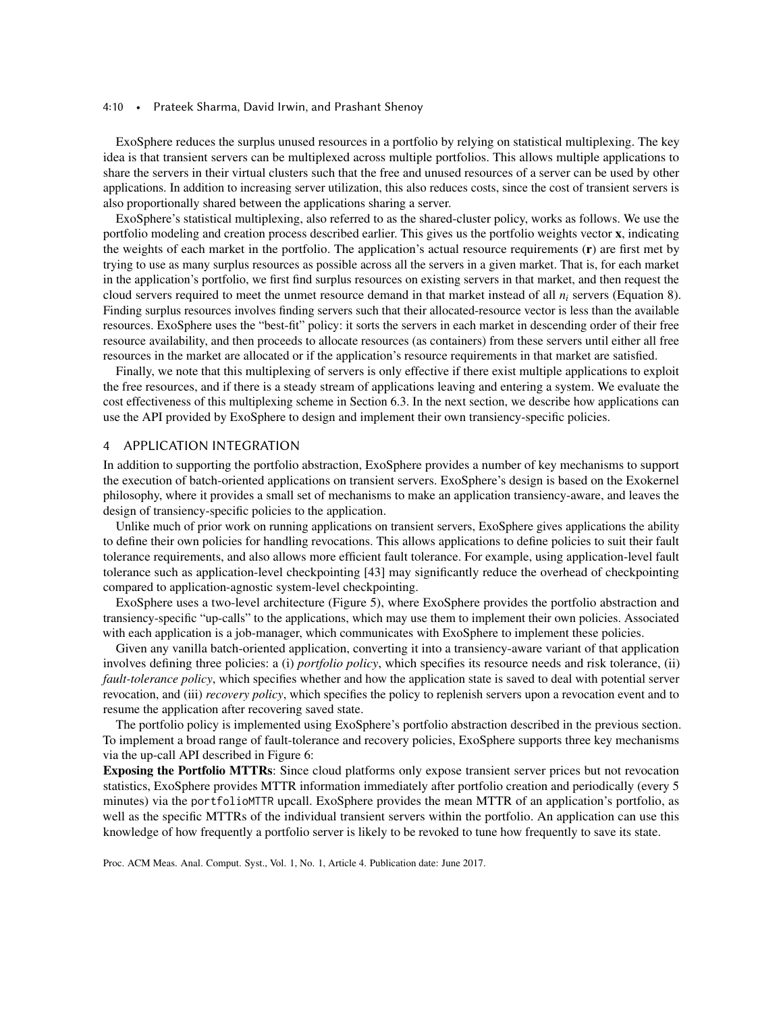#### 4:10 • Prateek Sharma, David Irwin, and Prashant Shenoy

ExoSphere reduces the surplus unused resources in a portfolio by relying on statistical multiplexing. The key idea is that transient servers can be multiplexed across multiple portfolios. This allows multiple applications to share the servers in their virtual clusters such that the free and unused resources of a server can be used by other applications. In addition to increasing server utilization, this also reduces costs, since the cost of transient servers is also proportionally shared between the applications sharing a server.

ExoSphere's statistical multiplexing, also referred to as the shared-cluster policy, works as follows. We use the portfolio modeling and creation process described earlier. This gives us the portfolio weights vector x, indicating the weights of each market in the portfolio. The application's actual resource requirements (r) are first met by trying to use as many surplus resources as possible across all the servers in a given market. That is, for each market in the application's portfolio, we first find surplus resources on existing servers in that market, and then request the cloud servers required to meet the unmet resource demand in that market instead of all *n<sup>i</sup>* servers (Equation [8\)](#page-8-0). Finding surplus resources involves finding servers such that their allocated-resource vector is less than the available resources. ExoSphere uses the "best-fit" policy: it sorts the servers in each market in descending order of their free resource availability, and then proceeds to allocate resources (as containers) from these servers until either all free resources in the market are allocated or if the application's resource requirements in that market are satisfied.

Finally, we note that this multiplexing of servers is only effective if there exist multiple applications to exploit the free resources, and if there is a steady stream of applications leaving and entering a system. We evaluate the cost effectiveness of this multiplexing scheme in Section [6.3.](#page-17-0) In the next section, we describe how applications can use the API provided by ExoSphere to design and implement their own transiency-specific policies.

# 4 APPLICATION INTEGRATION

In addition to supporting the portfolio abstraction, ExoSphere provides a number of key mechanisms to support the execution of batch-oriented applications on transient servers. ExoSphere's design is based on the Exokernel philosophy, where it provides a small set of mechanisms to make an application transiency-aware, and leaves the design of transiency-specific policies to the application.

Unlike much of prior work on running applications on transient servers, ExoSphere gives applications the ability to define their own policies for handling revocations. This allows applications to define policies to suit their fault tolerance requirements, and also allows more efficient fault tolerance. For example, using application-level fault tolerance such as application-level checkpointing [\[43\]](#page-21-3) may significantly reduce the overhead of checkpointing compared to application-agnostic system-level checkpointing.

ExoSphere uses a two-level architecture (Figure [5\)](#page-10-0), where ExoSphere provides the portfolio abstraction and transiency-specific "up-calls" to the applications, which may use them to implement their own policies. Associated with each application is a job-manager, which communicates with ExoSphere to implement these policies.

Given any vanilla batch-oriented application, converting it into a transiency-aware variant of that application involves defining three policies: a (i) *portfolio policy*, which specifies its resource needs and risk tolerance, (ii) *fault-tolerance policy*, which specifies whether and how the application state is saved to deal with potential server revocation, and (iii) *recovery policy*, which specifies the policy to replenish servers upon a revocation event and to resume the application after recovering saved state.

The portfolio policy is implemented using ExoSphere's portfolio abstraction described in the previous section. To implement a broad range of fault-tolerance and recovery policies, ExoSphere supports three key mechanisms via the up-call API described in Figure [6:](#page-10-0)

Exposing the Portfolio MTTRs: Since cloud platforms only expose transient server prices but not revocation statistics, ExoSphere provides MTTR information immediately after portfolio creation and periodically (every 5 minutes) via the portfolioMTTR upcall. ExoSphere provides the mean MTTR of an application's portfolio, as well as the specific MTTRs of the individual transient servers within the portfolio. An application can use this knowledge of how frequently a portfolio server is likely to be revoked to tune how frequently to save its state.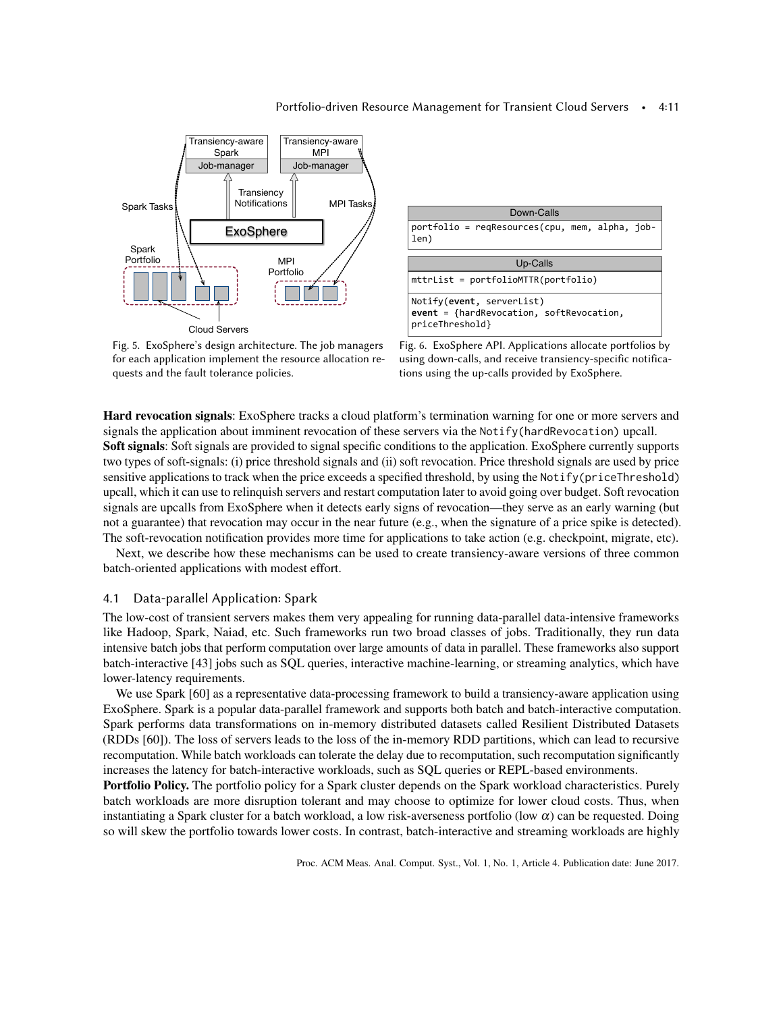#### Portfolio-driven Resource Management for Transient Cloud Servers • 4:11

<span id="page-10-0"></span>



Fig. 5. ExoSphere's design architecture. The job managers for each application implement the resource allocation requests and the fault tolerance policies.

Fig. 6. ExoSphere API. Applications allocate portfolios by using down-calls, and receive transiency-specific notifications using the up-calls provided by ExoSphere.

Hard revocation signals: ExoSphere tracks a cloud platform's termination warning for one or more servers and signals the application about imminent revocation of these servers via the Notify(hardRevocation) upcall. Soft signals: Soft signals are provided to signal specific conditions to the application. ExoSphere currently supports two types of soft-signals: (i) price threshold signals and (ii) soft revocation. Price threshold signals are used by price sensitive applications to track when the price exceeds a specified threshold, by using the Notify(priceThreshold) upcall, which it can use to relinquish servers and restart computation later to avoid going over budget. Soft revocation signals are upcalls from ExoSphere when it detects early signs of revocation—they serve as an early warning (but not a guarantee) that revocation may occur in the near future (e.g., when the signature of a price spike is detected). The soft-revocation notification provides more time for applications to take action (e.g. checkpoint, migrate, etc).

Next, we describe how these mechanisms can be used to create transiency-aware versions of three common batch-oriented applications with modest effort.

## 4.1 Data-parallel Application: Spark

The low-cost of transient servers makes them very appealing for running data-parallel data-intensive frameworks like Hadoop, Spark, Naiad, etc. Such frameworks run two broad classes of jobs. Traditionally, they run data intensive batch jobs that perform computation over large amounts of data in parallel. These frameworks also support batch-interactive [\[43\]](#page-21-3) jobs such as SQL queries, interactive machine-learning, or streaming analytics, which have lower-latency requirements.

We use Spark [\[60\]](#page-22-3) as a representative data-processing framework to build a transiency-aware application using ExoSphere. Spark is a popular data-parallel framework and supports both batch and batch-interactive computation. Spark performs data transformations on in-memory distributed datasets called Resilient Distributed Datasets (RDDs [\[60\]](#page-22-3)). The loss of servers leads to the loss of the in-memory RDD partitions, which can lead to recursive recomputation. While batch workloads can tolerate the delay due to recomputation, such recomputation significantly increases the latency for batch-interactive workloads, such as SQL queries or REPL-based environments.

Portfolio Policy. The portfolio policy for a Spark cluster depends on the Spark workload characteristics. Purely batch workloads are more disruption tolerant and may choose to optimize for lower cloud costs. Thus, when instantiating a Spark cluster for a batch workload, a low risk-averseness portfolio (low  $\alpha$ ) can be requested. Doing so will skew the portfolio towards lower costs. In contrast, batch-interactive and streaming workloads are highly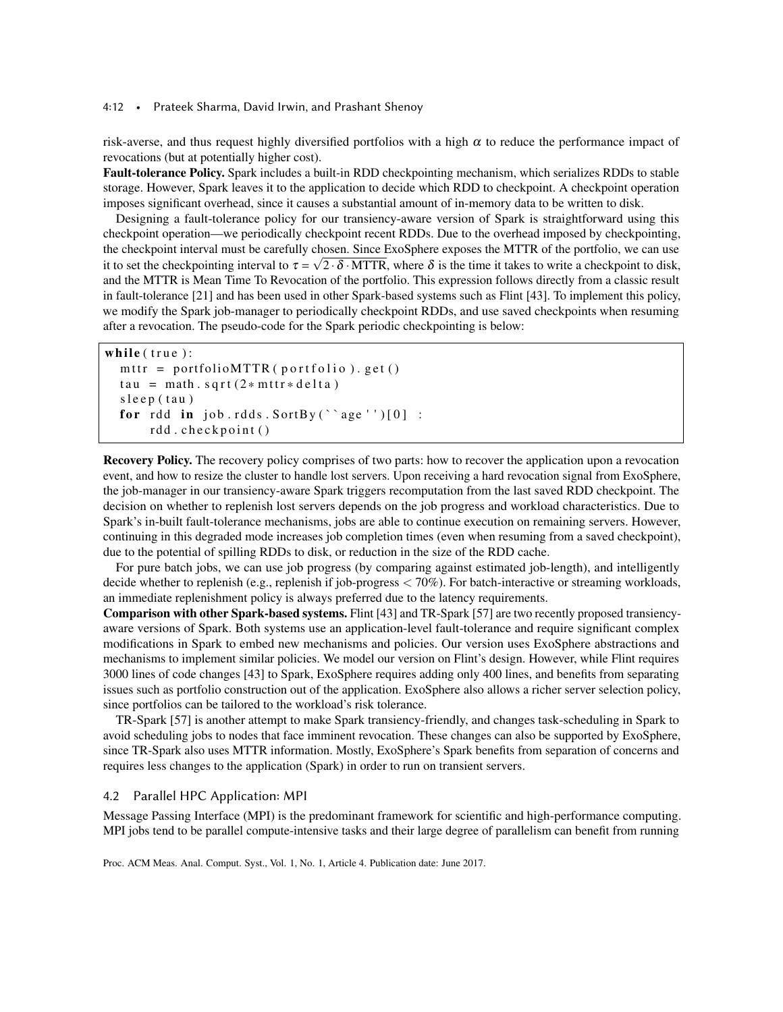#### 4:12 • Prateek Sharma, David Irwin, and Prashant Shenoy

risk-averse, and thus request highly diversified portfolios with a high  $\alpha$  to reduce the performance impact of revocations (but at potentially higher cost).

Fault-tolerance Policy. Spark includes a built-in RDD checkpointing mechanism, which serializes RDDs to stable storage. However, Spark leaves it to the application to decide which RDD to checkpoint. A checkpoint operation imposes significant overhead, since it causes a substantial amount of in-memory data to be written to disk.

Designing a fault-tolerance policy for our transiency-aware version of Spark is straightforward using this checkpoint operation—we periodically checkpoint recent RDDs. Due to the overhead imposed by checkpointing, the checkpoint interval must be carefully chosen. Since ExoSphere exposes the MTTR of the portfolio, we can use it to set the checkpointing interval to  $\tau = \sqrt{2} \cdot \delta \cdot MTTR$ , where  $\delta$  is the time it takes to write a checkpoint to disk, and the MTTR is Mean Time To Revocation of the portfolio. This expression follows directly from a classic result in fault-tolerance [\[21\]](#page-20-12) and has been used in other Spark-based systems such as Flint [\[43\]](#page-21-3). To implement this policy, we modify the Spark job-manager to periodically checkpoint RDDs, and use saved checkpoints when resuming after a revocation. The pseudo-code for the Spark periodic checkpointing is below:

```
while (true):mttr = portfolioMTTR ( portfolio ). get ( )
tau = math.sqrt(2*mttr*delta)s leep (tau)
for rdd in job.rdds.SortBy ('age'')[0] :
    rdd.checkpoint()
```
Recovery Policy. The recovery policy comprises of two parts: how to recover the application upon a revocation event, and how to resize the cluster to handle lost servers. Upon receiving a hard revocation signal from ExoSphere, the job-manager in our transiency-aware Spark triggers recomputation from the last saved RDD checkpoint. The decision on whether to replenish lost servers depends on the job progress and workload characteristics. Due to Spark's in-built fault-tolerance mechanisms, jobs are able to continue execution on remaining servers. However, continuing in this degraded mode increases job completion times (even when resuming from a saved checkpoint), due to the potential of spilling RDDs to disk, or reduction in the size of the RDD cache.

For pure batch jobs, we can use job progress (by comparing against estimated job-length), and intelligently decide whether to replenish (e.g., replenish if job-progress < 70%). For batch-interactive or streaming workloads, an immediate replenishment policy is always preferred due to the latency requirements.

Comparison with other Spark-based systems. Flint [\[43\]](#page-21-3) and TR-Spark [\[57\]](#page-22-1) are two recently proposed transiencyaware versions of Spark. Both systems use an application-level fault-tolerance and require significant complex modifications in Spark to embed new mechanisms and policies. Our version uses ExoSphere abstractions and mechanisms to implement similar policies. We model our version on Flint's design. However, while Flint requires 3000 lines of code changes [\[43\]](#page-21-3) to Spark, ExoSphere requires adding only 400 lines, and benefits from separating issues such as portfolio construction out of the application. ExoSphere also allows a richer server selection policy, since portfolios can be tailored to the workload's risk tolerance.

TR-Spark [\[57\]](#page-22-1) is another attempt to make Spark transiency-friendly, and changes task-scheduling in Spark to avoid scheduling jobs to nodes that face imminent revocation. These changes can also be supported by ExoSphere, since TR-Spark also uses MTTR information. Mostly, ExoSphere's Spark benefits from separation of concerns and requires less changes to the application (Spark) in order to run on transient servers.

### 4.2 Parallel HPC Application: MPI

Message Passing Interface (MPI) is the predominant framework for scientific and high-performance computing. MPI jobs tend to be parallel compute-intensive tasks and their large degree of parallelism can benefit from running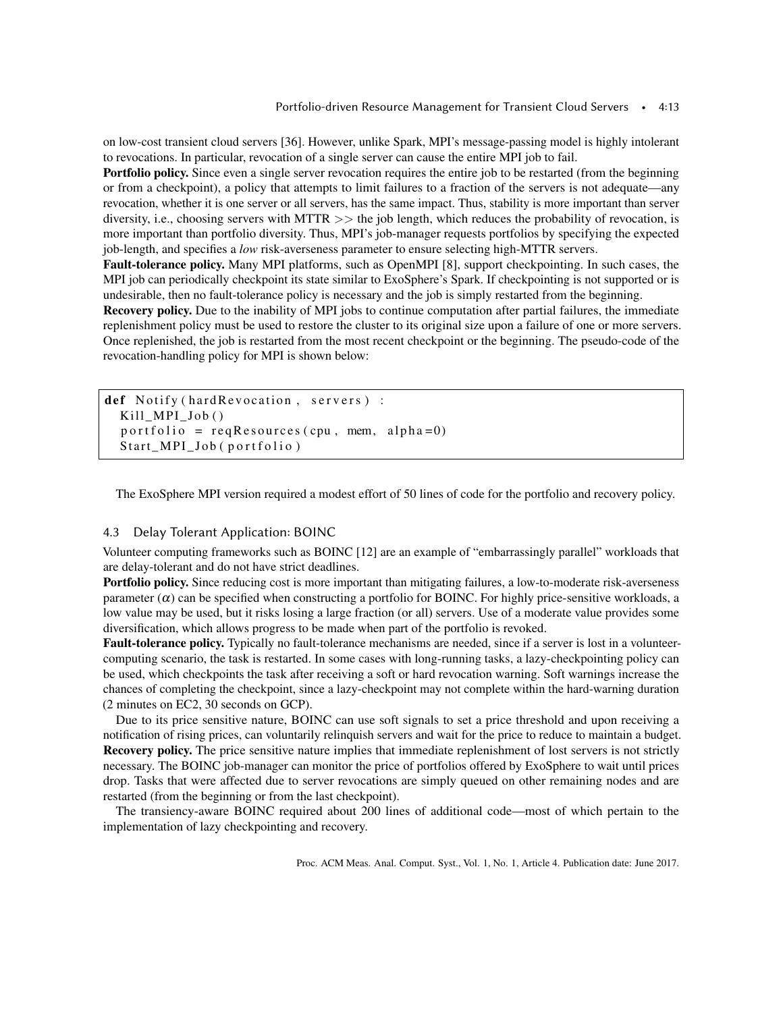on low-cost transient cloud servers [\[36\]](#page-21-4). However, unlike Spark, MPI's message-passing model is highly intolerant to revocations. In particular, revocation of a single server can cause the entire MPI job to fail.

Portfolio policy. Since even a single server revocation requires the entire job to be restarted (from the beginning or from a checkpoint), a policy that attempts to limit failures to a fraction of the servers is not adequate—any revocation, whether it is one server or all servers, has the same impact. Thus, stability is more important than server diversity, i.e., choosing servers with MTTR >> the job length, which reduces the probability of revocation, is more important than portfolio diversity. Thus, MPI's job-manager requests portfolios by specifying the expected job-length, and specifies a *low* risk-averseness parameter to ensure selecting high-MTTR servers.

Fault-tolerance policy. Many MPI platforms, such as OpenMPI [\[8\]](#page-20-13), support checkpointing. In such cases, the MPI job can periodically checkpoint its state similar to ExoSphere's Spark. If checkpointing is not supported or is undesirable, then no fault-tolerance policy is necessary and the job is simply restarted from the beginning.

Recovery policy. Due to the inability of MPI jobs to continue computation after partial failures, the immediate replenishment policy must be used to restore the cluster to its original size upon a failure of one or more servers. Once replenished, the job is restarted from the most recent checkpoint or the beginning. The pseudo-code of the revocation-handling policy for MPI is shown below:

```
def Notify (hard Revocation, servers) :
Kill_MPI_Job ( )
p o r t f o l i o = r e q R e s o u r c e s ( c pu , mem, al p h a = 0)
Start_MPI_Job (portfolio)
```
The ExoSphere MPI version required a modest effort of 50 lines of code for the portfolio and recovery policy.

# 4.3 Delay Tolerant Application: BOINC

Volunteer computing frameworks such as BOINC [\[12\]](#page-20-14) are an example of "embarrassingly parallel" workloads that are delay-tolerant and do not have strict deadlines.

Portfolio policy. Since reducing cost is more important than mitigating failures, a low-to-moderate risk-averseness parameter  $(\alpha)$  can be specified when constructing a portfolio for BOINC. For highly price-sensitive workloads, a low value may be used, but it risks losing a large fraction (or all) servers. Use of a moderate value provides some diversification, which allows progress to be made when part of the portfolio is revoked.

Fault-tolerance policy. Typically no fault-tolerance mechanisms are needed, since if a server is lost in a volunteercomputing scenario, the task is restarted. In some cases with long-running tasks, a lazy-checkpointing policy can be used, which checkpoints the task after receiving a soft or hard revocation warning. Soft warnings increase the chances of completing the checkpoint, since a lazy-checkpoint may not complete within the hard-warning duration (2 minutes on EC2, 30 seconds on GCP).

Due to its price sensitive nature, BOINC can use soft signals to set a price threshold and upon receiving a notification of rising prices, can voluntarily relinquish servers and wait for the price to reduce to maintain a budget. Recovery policy. The price sensitive nature implies that immediate replenishment of lost servers is not strictly necessary. The BOINC job-manager can monitor the price of portfolios offered by ExoSphere to wait until prices drop. Tasks that were affected due to server revocations are simply queued on other remaining nodes and are restarted (from the beginning or from the last checkpoint).

The transiency-aware BOINC required about 200 lines of additional code—most of which pertain to the implementation of lazy checkpointing and recovery.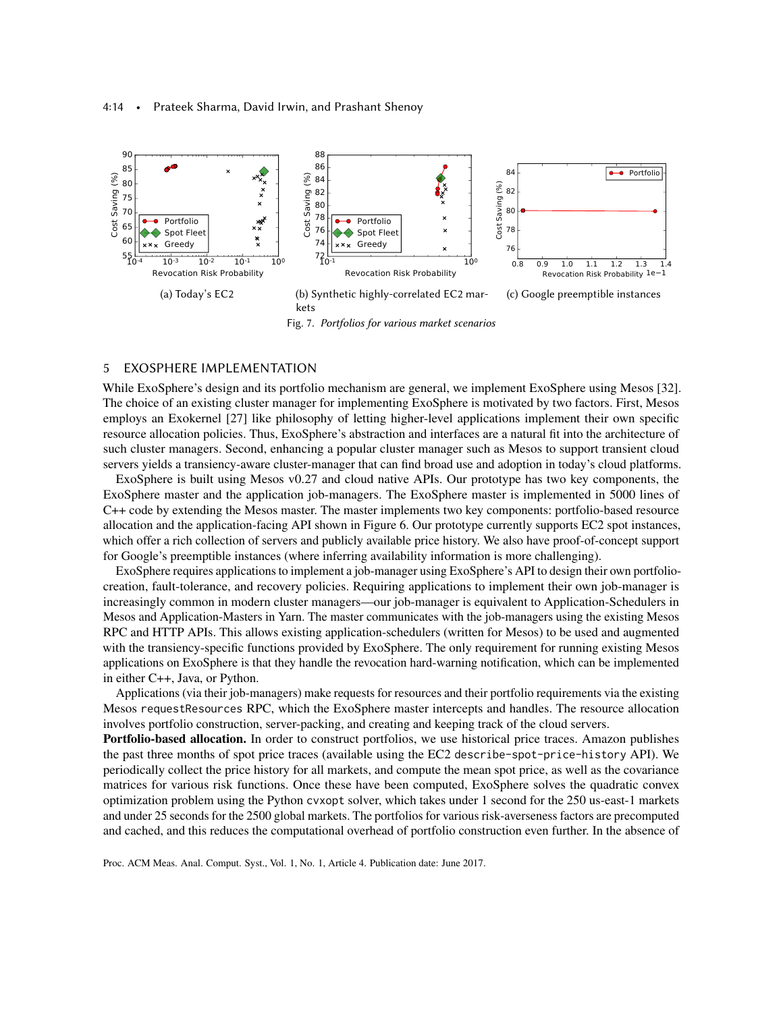<span id="page-13-0"></span>

# <span id="page-13-2"></span><span id="page-13-1"></span>5 EXOSPHERE IMPLEMENTATION

While ExoSphere's design and its portfolio mechanism are general, we implement ExoSphere using Mesos [\[32\]](#page-21-9). The choice of an existing cluster manager for implementing ExoSphere is motivated by two factors. First, Mesos employs an Exokernel [\[27\]](#page-21-8) like philosophy of letting higher-level applications implement their own specific resource allocation policies. Thus, ExoSphere's abstraction and interfaces are a natural fit into the architecture of such cluster managers. Second, enhancing a popular cluster manager such as Mesos to support transient cloud servers yields a transiency-aware cluster-manager that can find broad use and adoption in today's cloud platforms.

ExoSphere is built using Mesos v0.27 and cloud native APIs. Our prototype has two key components, the ExoSphere master and the application job-managers. The ExoSphere master is implemented in 5000 lines of C++ code by extending the Mesos master. The master implements two key components: portfolio-based resource allocation and the application-facing API shown in Figure [6.](#page-10-0) Our prototype currently supports EC2 spot instances, which offer a rich collection of servers and publicly available price history. We also have proof-of-concept support for Google's preemptible instances (where inferring availability information is more challenging).

ExoSphere requires applications to implement a job-manager using ExoSphere's API to design their own portfoliocreation, fault-tolerance, and recovery policies. Requiring applications to implement their own job-manager is increasingly common in modern cluster managers—our job-manager is equivalent to Application-Schedulers in Mesos and Application-Masters in Yarn. The master communicates with the job-managers using the existing Mesos RPC and HTTP APIs. This allows existing application-schedulers (written for Mesos) to be used and augmented with the transiency-specific functions provided by ExoSphere. The only requirement for running existing Mesos applications on ExoSphere is that they handle the revocation hard-warning notification, which can be implemented in either C++, Java, or Python.

Applications (via their job-managers) make requests for resources and their portfolio requirements via the existing Mesos requestResources RPC, which the ExoSphere master intercepts and handles. The resource allocation involves portfolio construction, server-packing, and creating and keeping track of the cloud servers.

Portfolio-based allocation. In order to construct portfolios, we use historical price traces. Amazon publishes the past three months of spot price traces (available using the EC2 describe-spot-price-history API). We periodically collect the price history for all markets, and compute the mean spot price, as well as the covariance matrices for various risk functions. Once these have been computed, ExoSphere solves the quadratic convex optimization problem using the Python cvxopt solver, which takes under 1 second for the 250 us-east-1 markets and under 25 seconds for the 2500 global markets. The portfolios for various risk-averseness factors are precomputed and cached, and this reduces the computational overhead of portfolio construction even further. In the absence of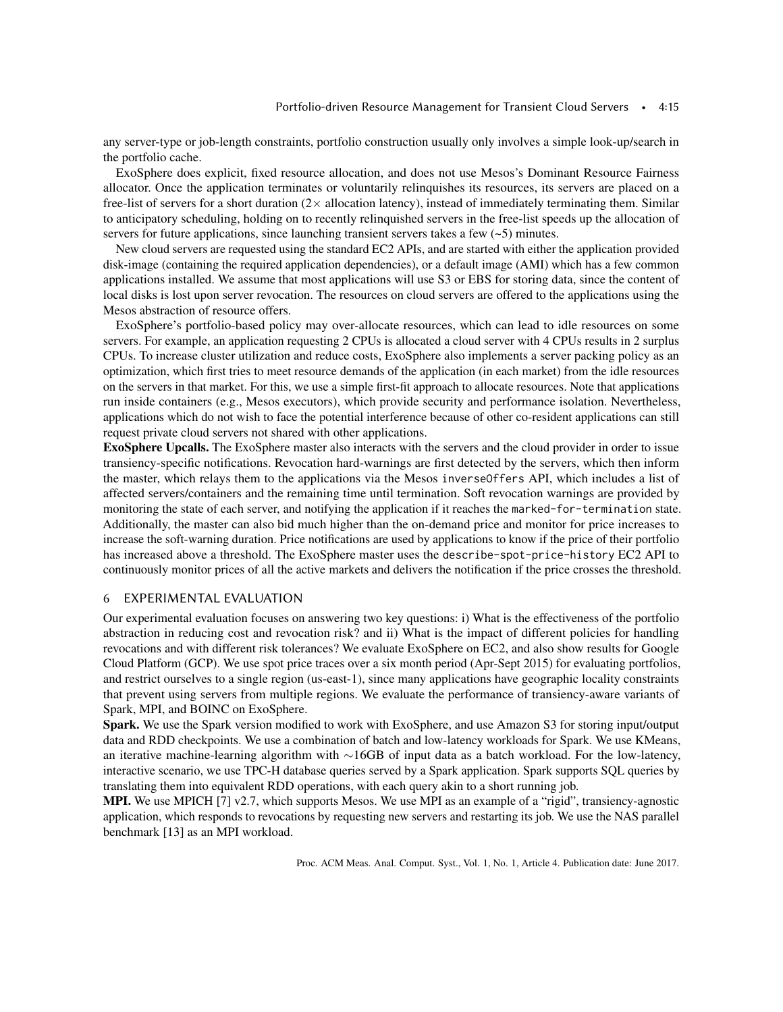any server-type or job-length constraints, portfolio construction usually only involves a simple look-up/search in the portfolio cache.

ExoSphere does explicit, fixed resource allocation, and does not use Mesos's Dominant Resource Fairness allocator. Once the application terminates or voluntarily relinquishes its resources, its servers are placed on a free-list of servers for a short duration  $(2 \times$  allocation latency), instead of immediately terminating them. Similar to anticipatory scheduling, holding on to recently relinquished servers in the free-list speeds up the allocation of servers for future applications, since launching transient servers takes a few  $(-5)$  minutes.

New cloud servers are requested using the standard EC2 APIs, and are started with either the application provided disk-image (containing the required application dependencies), or a default image (AMI) which has a few common applications installed. We assume that most applications will use S3 or EBS for storing data, since the content of local disks is lost upon server revocation. The resources on cloud servers are offered to the applications using the Mesos abstraction of resource offers.

ExoSphere's portfolio-based policy may over-allocate resources, which can lead to idle resources on some servers. For example, an application requesting 2 CPUs is allocated a cloud server with 4 CPUs results in 2 surplus CPUs. To increase cluster utilization and reduce costs, ExoSphere also implements a server packing policy as an optimization, which first tries to meet resource demands of the application (in each market) from the idle resources on the servers in that market. For this, we use a simple first-fit approach to allocate resources. Note that applications run inside containers (e.g., Mesos executors), which provide security and performance isolation. Nevertheless, applications which do not wish to face the potential interference because of other co-resident applications can still request private cloud servers not shared with other applications.

ExoSphere Upcalls. The ExoSphere master also interacts with the servers and the cloud provider in order to issue transiency-specific notifications. Revocation hard-warnings are first detected by the servers, which then inform the master, which relays them to the applications via the Mesos inverseOffers API, which includes a list of affected servers/containers and the remaining time until termination. Soft revocation warnings are provided by monitoring the state of each server, and notifying the application if it reaches the marked-for-termination state. Additionally, the master can also bid much higher than the on-demand price and monitor for price increases to increase the soft-warning duration. Price notifications are used by applications to know if the price of their portfolio has increased above a threshold. The ExoSphere master uses the describe-spot-price-history EC2 API to continuously monitor prices of all the active markets and delivers the notification if the price crosses the threshold.

# 6 EXPERIMENTAL EVALUATION

Our experimental evaluation focuses on answering two key questions: i) What is the effectiveness of the portfolio abstraction in reducing cost and revocation risk? and ii) What is the impact of different policies for handling revocations and with different risk tolerances? We evaluate ExoSphere on EC2, and also show results for Google Cloud Platform (GCP). We use spot price traces over a six month period (Apr-Sept 2015) for evaluating portfolios, and restrict ourselves to a single region (us-east-1), since many applications have geographic locality constraints that prevent using servers from multiple regions. We evaluate the performance of transiency-aware variants of Spark, MPI, and BOINC on ExoSphere.

Spark. We use the Spark version modified to work with ExoSphere, and use Amazon S3 for storing input/output data and RDD checkpoints. We use a combination of batch and low-latency workloads for Spark. We use KMeans, an iterative machine-learning algorithm with ∼16GB of input data as a batch workload. For the low-latency, interactive scenario, we use TPC-H database queries served by a Spark application. Spark supports SQL queries by translating them into equivalent RDD operations, with each query akin to a short running job.

MPI. We use MPICH [\[7\]](#page-20-15) v2.7, which supports Mesos. We use MPI as an example of a "rigid", transiency-agnostic application, which responds to revocations by requesting new servers and restarting its job. We use the NAS parallel benchmark [\[13\]](#page-20-16) as an MPI workload.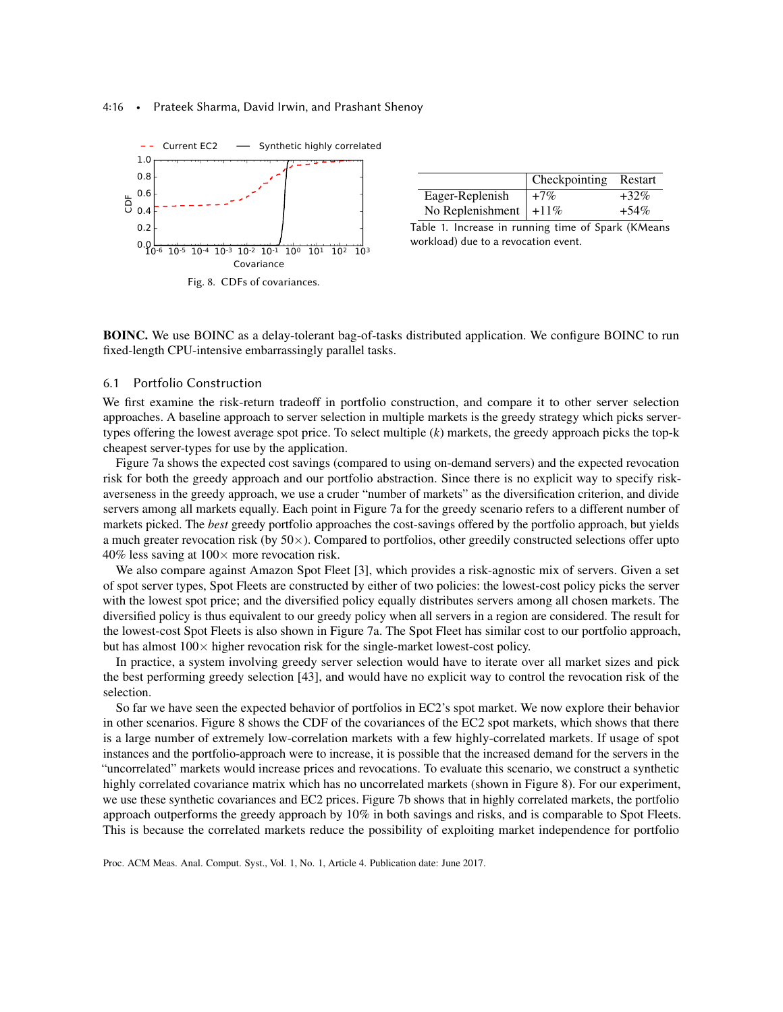#### 4:16 • Prateek Sharma, David Irwin, and Prashant Shenoy

<span id="page-15-0"></span>

|                            | Checkpointing Restart |         |
|----------------------------|-----------------------|---------|
| Eager-Replenish            | $+7\%$                | $+32\%$ |
| No Replenishment   $+11\%$ |                       | $+54\%$ |

Table 1. Increase in running time of Spark (KMeans workload) due to a revocation event.

BOINC. We use BOINC as a delay-tolerant bag-of-tasks distributed application. We configure BOINC to run fixed-length CPU-intensive embarrassingly parallel tasks.

## 6.1 Portfolio Construction

We first examine the risk-return tradeoff in portfolio construction, and compare it to other server selection approaches. A baseline approach to server selection in multiple markets is the greedy strategy which picks servertypes offering the lowest average spot price. To select multiple (*k*) markets, the greedy approach picks the top-k cheapest server-types for use by the application.

Figure [7a](#page-13-0) shows the expected cost savings (compared to using on-demand servers) and the expected revocation risk for both the greedy approach and our portfolio abstraction. Since there is no explicit way to specify riskaverseness in the greedy approach, we use a cruder "number of markets" as the diversification criterion, and divide servers among all markets equally. Each point in Figure [7a](#page-13-0) for the greedy scenario refers to a different number of markets picked. The *best* greedy portfolio approaches the cost-savings offered by the portfolio approach, but yields a much greater revocation risk (by  $50\times$ ). Compared to portfolios, other greedily constructed selections offer upto 40% less saving at  $100 \times$  more revocation risk.

We also compare against Amazon Spot Fleet [\[3\]](#page-20-7), which provides a risk-agnostic mix of servers. Given a set of spot server types, Spot Fleets are constructed by either of two policies: the lowest-cost policy picks the server with the lowest spot price; and the diversified policy equally distributes servers among all chosen markets. The diversified policy is thus equivalent to our greedy policy when all servers in a region are considered. The result for the lowest-cost Spot Fleets is also shown in Figure [7a.](#page-13-0) The Spot Fleet has similar cost to our portfolio approach, but has almost  $100\times$  higher revocation risk for the single-market lowest-cost policy.

In practice, a system involving greedy server selection would have to iterate over all market sizes and pick the best performing greedy selection [\[43\]](#page-21-3), and would have no explicit way to control the revocation risk of the selection.

So far we have seen the expected behavior of portfolios in EC2's spot market. We now explore their behavior in other scenarios. Figure [8](#page-15-0) shows the CDF of the covariances of the EC2 spot markets, which shows that there is a large number of extremely low-correlation markets with a few highly-correlated markets. If usage of spot instances and the portfolio-approach were to increase, it is possible that the increased demand for the servers in the "uncorrelated" markets would increase prices and revocations. To evaluate this scenario, we construct a synthetic highly correlated covariance matrix which has no uncorrelated markets (shown in Figure [8\)](#page-15-0). For our experiment, we use these synthetic covariances and EC2 prices. Figure [7b](#page-13-1) shows that in highly correlated markets, the portfolio approach outperforms the greedy approach by 10% in both savings and risks, and is comparable to Spot Fleets. This is because the correlated markets reduce the possibility of exploiting market independence for portfolio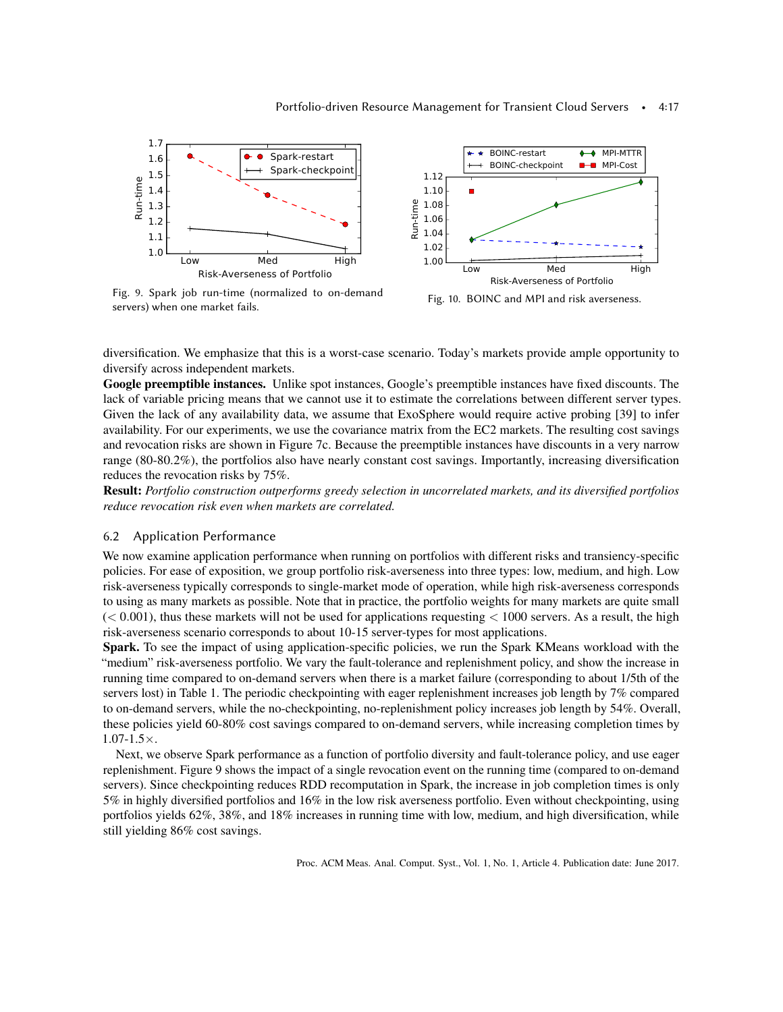<span id="page-16-0"></span>

Fig. 9. Spark job run-time (normalized to on-demand servers) when one market fails.



diversification. We emphasize that this is a worst-case scenario. Today's markets provide ample opportunity to diversify across independent markets.

Google preemptible instances. Unlike spot instances, Google's preemptible instances have fixed discounts. The lack of variable pricing means that we cannot use it to estimate the correlations between different server types. Given the lack of any availability data, we assume that ExoSphere would require active probing [\[39\]](#page-21-2) to infer availability. For our experiments, we use the covariance matrix from the EC2 markets. The resulting cost savings and revocation risks are shown in Figure [7c.](#page-13-2) Because the preemptible instances have discounts in a very narrow range (80-80.2%), the portfolios also have nearly constant cost savings. Importantly, increasing diversification reduces the revocation risks by 75%.

Result: *Portfolio construction outperforms greedy selection in uncorrelated markets, and its diversified portfolios reduce revocation risk even when markets are correlated.*

## 6.2 Application Performance

We now examine application performance when running on portfolios with different risks and transiency-specific policies. For ease of exposition, we group portfolio risk-averseness into three types: low, medium, and high. Low risk-averseness typically corresponds to single-market mode of operation, while high risk-averseness corresponds to using as many markets as possible. Note that in practice, the portfolio weights for many markets are quite small  $(< 0.001$ ), thus these markets will not be used for applications requesting  $< 1000$  servers. As a result, the high risk-averseness scenario corresponds to about 10-15 server-types for most applications.

Spark. To see the impact of using application-specific policies, we run the Spark KMeans workload with the "medium" risk-averseness portfolio. We vary the fault-tolerance and replenishment policy, and show the increase in running time compared to on-demand servers when there is a market failure (corresponding to about 1/5th of the servers lost) in Table [1.](#page-15-0) The periodic checkpointing with eager replenishment increases job length by 7% compared to on-demand servers, while the no-checkpointing, no-replenishment policy increases job length by 54%. Overall, these policies yield 60-80% cost savings compared to on-demand servers, while increasing completion times by  $1.07 - 1.5 \times$ .

Next, we observe Spark performance as a function of portfolio diversity and fault-tolerance policy, and use eager replenishment. Figure [9](#page-16-0) shows the impact of a single revocation event on the running time (compared to on-demand servers). Since checkpointing reduces RDD recomputation in Spark, the increase in job completion times is only 5% in highly diversified portfolios and 16% in the low risk averseness portfolio. Even without checkpointing, using portfolios yields 62%, 38%, and 18% increases in running time with low, medium, and high diversification, while still yielding 86% cost savings.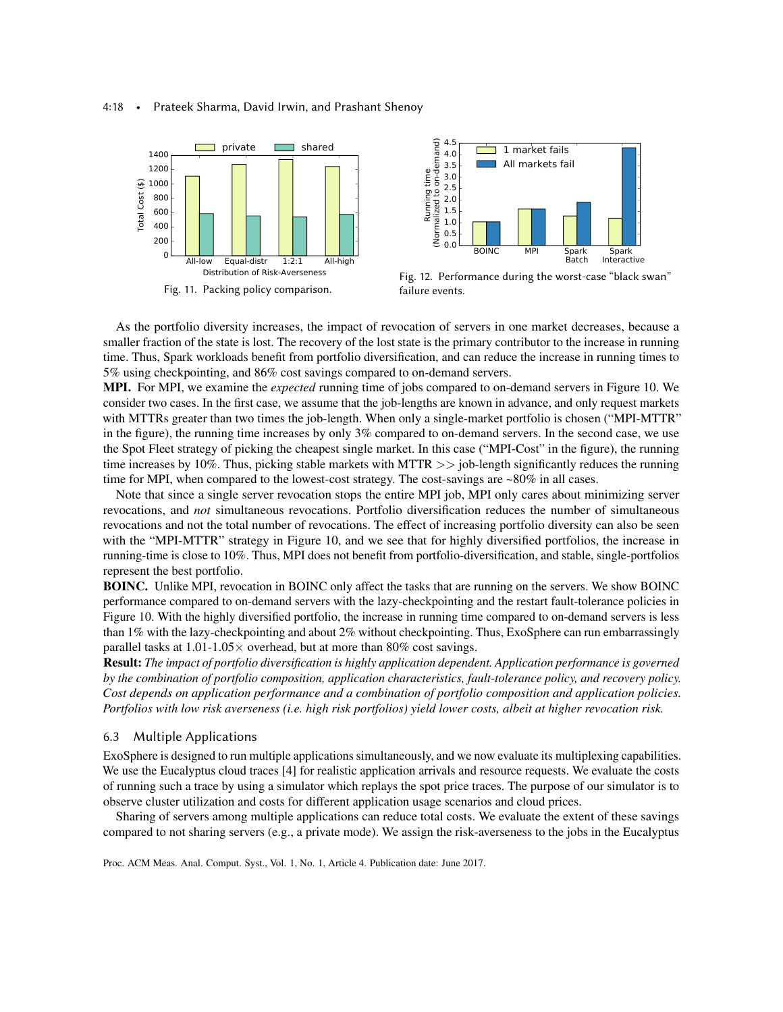#### 4:18 • Prateek Sharma, David Irwin, and Prashant Shenoy

<span id="page-17-1"></span>



Fig. 12. Performance during the worst-case "black swan" failure events.

As the portfolio diversity increases, the impact of revocation of servers in one market decreases, because a smaller fraction of the state is lost. The recovery of the lost state is the primary contributor to the increase in running time. Thus, Spark workloads benefit from portfolio diversification, and can reduce the increase in running times to 5% using checkpointing, and 86% cost savings compared to on-demand servers.

MPI. For MPI, we examine the *expected* running time of jobs compared to on-demand servers in Figure [10.](#page-16-0) We consider two cases. In the first case, we assume that the job-lengths are known in advance, and only request markets with MTTRs greater than two times the job-length. When only a single-market portfolio is chosen ("MPI-MTTR" in the figure), the running time increases by only 3% compared to on-demand servers. In the second case, we use the Spot Fleet strategy of picking the cheapest single market. In this case ("MPI-Cost" in the figure), the running time increases by 10%. Thus, picking stable markets with MTTR >> job-length significantly reduces the running time for MPI, when compared to the lowest-cost strategy. The cost-savings are ~80% in all cases.

Note that since a single server revocation stops the entire MPI job, MPI only cares about minimizing server revocations, and *not* simultaneous revocations. Portfolio diversification reduces the number of simultaneous revocations and not the total number of revocations. The effect of increasing portfolio diversity can also be seen with the "MPI-MTTR" strategy in Figure [10,](#page-16-0) and we see that for highly diversified portfolios, the increase in running-time is close to 10%. Thus, MPI does not benefit from portfolio-diversification, and stable, single-portfolios represent the best portfolio.

BOINC. Unlike MPI, revocation in BOINC only affect the tasks that are running on the servers. We show BOINC performance compared to on-demand servers with the lazy-checkpointing and the restart fault-tolerance policies in Figure [10.](#page-16-0) With the highly diversified portfolio, the increase in running time compared to on-demand servers is less than 1% with the lazy-checkpointing and about 2% without checkpointing. Thus, ExoSphere can run embarrassingly parallel tasks at  $1.01$ -1.05 $\times$  overhead, but at more than 80% cost savings.

Result: *The impact of portfolio diversification is highly application dependent. Application performance is governed by the combination of portfolio composition, application characteristics, fault-tolerance policy, and recovery policy. Cost depends on application performance and a combination of portfolio composition and application policies. Portfolios with low risk averseness (i.e. high risk portfolios) yield lower costs, albeit at higher revocation risk.*

# <span id="page-17-0"></span>6.3 Multiple Applications

ExoSphere is designed to run multiple applications simultaneously, and we now evaluate its multiplexing capabilities. We use the Eucalyptus cloud traces [\[4\]](#page-20-17) for realistic application arrivals and resource requests. We evaluate the costs of running such a trace by using a simulator which replays the spot price traces. The purpose of our simulator is to observe cluster utilization and costs for different application usage scenarios and cloud prices.

Sharing of servers among multiple applications can reduce total costs. We evaluate the extent of these savings compared to not sharing servers (e.g., a private mode). We assign the risk-averseness to the jobs in the Eucalyptus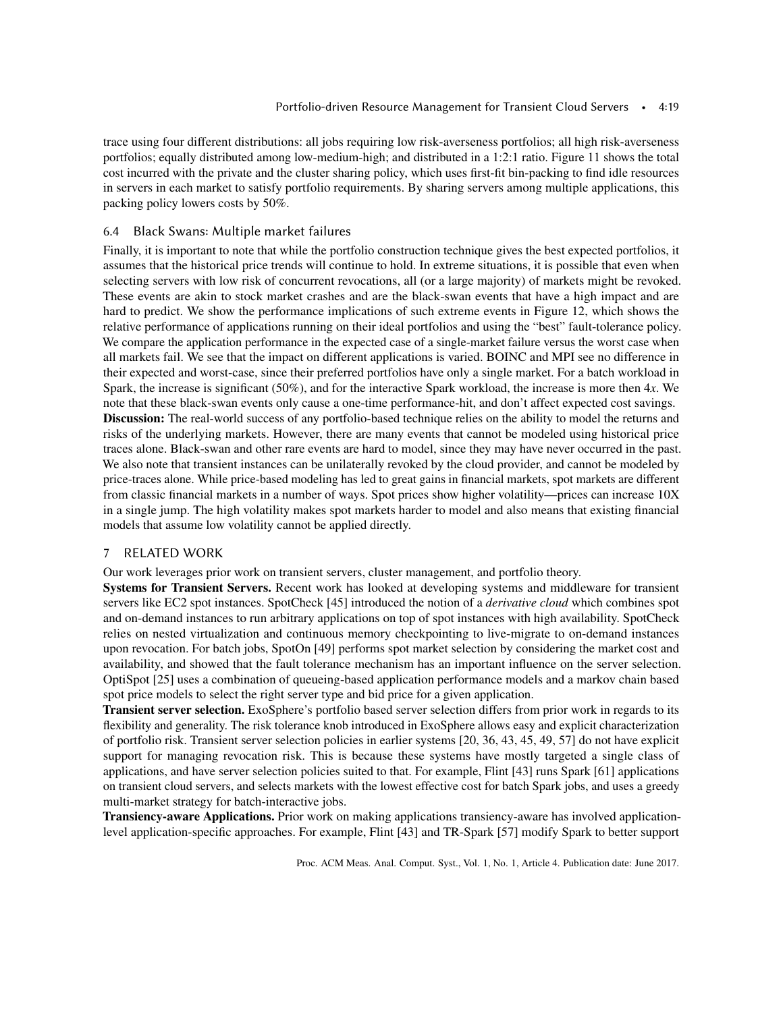trace using four different distributions: all jobs requiring low risk-averseness portfolios; all high risk-averseness portfolios; equally distributed among low-medium-high; and distributed in a 1:2:1 ratio. Figure [11](#page-17-1) shows the total cost incurred with the private and the cluster sharing policy, which uses first-fit bin-packing to find idle resources in servers in each market to satisfy portfolio requirements. By sharing servers among multiple applications, this packing policy lowers costs by 50%.

## 6.4 Black Swans: Multiple market failures

Finally, it is important to note that while the portfolio construction technique gives the best expected portfolios, it assumes that the historical price trends will continue to hold. In extreme situations, it is possible that even when selecting servers with low risk of concurrent revocations, all (or a large majority) of markets might be revoked. These events are akin to stock market crashes and are the black-swan events that have a high impact and are hard to predict. We show the performance implications of such extreme events in Figure [12,](#page-17-1) which shows the relative performance of applications running on their ideal portfolios and using the "best" fault-tolerance policy. We compare the application performance in the expected case of a single-market failure versus the worst case when all markets fail. We see that the impact on different applications is varied. BOINC and MPI see no difference in their expected and worst-case, since their preferred portfolios have only a single market. For a batch workload in Spark, the increase is significant (50%), and for the interactive Spark workload, the increase is more then 4*x*. We note that these black-swan events only cause a one-time performance-hit, and don't affect expected cost savings. Discussion: The real-world success of any portfolio-based technique relies on the ability to model the returns and risks of the underlying markets. However, there are many events that cannot be modeled using historical price traces alone. Black-swan and other rare events are hard to model, since they may have never occurred in the past. We also note that transient instances can be unilaterally revoked by the cloud provider, and cannot be modeled by price-traces alone. While price-based modeling has led to great gains in financial markets, spot markets are different from classic financial markets in a number of ways. Spot prices show higher volatility—prices can increase 10X in a single jump. The high volatility makes spot markets harder to model and also means that existing financial models that assume low volatility cannot be applied directly.

# 7 RELATED WORK

Our work leverages prior work on transient servers, cluster management, and portfolio theory.

Systems for Transient Servers. Recent work has looked at developing systems and middleware for transient servers like EC2 spot instances. SpotCheck [\[45\]](#page-21-12) introduced the notion of a *derivative cloud* which combines spot and on-demand instances to run arbitrary applications on top of spot instances with high availability. SpotCheck relies on nested virtualization and continuous memory checkpointing to live-migrate to on-demand instances upon revocation. For batch jobs, SpotOn [\[49\]](#page-21-7) performs spot market selection by considering the market cost and availability, and showed that the fault tolerance mechanism has an important influence on the server selection. OptiSpot [\[25\]](#page-20-1) uses a combination of queueing-based application performance models and a markov chain based spot price models to select the right server type and bid price for a given application.

Transient server selection. ExoSphere's portfolio based server selection differs from prior work in regards to its flexibility and generality. The risk tolerance knob introduced in ExoSphere allows easy and explicit characterization of portfolio risk. Transient server selection policies in earlier systems [\[20,](#page-20-18) [36,](#page-21-4) [43,](#page-21-3) [45,](#page-21-12) [49,](#page-21-7) [57\]](#page-22-1) do not have explicit support for managing revocation risk. This is because these systems have mostly targeted a single class of applications, and have server selection policies suited to that. For example, Flint [\[43\]](#page-21-3) runs Spark [\[61\]](#page-22-4) applications on transient cloud servers, and selects markets with the lowest effective cost for batch Spark jobs, and uses a greedy multi-market strategy for batch-interactive jobs.

Transiency-aware Applications. Prior work on making applications transiency-aware has involved applicationlevel application-specific approaches. For example, Flint [\[43\]](#page-21-3) and TR-Spark [\[57\]](#page-22-1) modify Spark to better support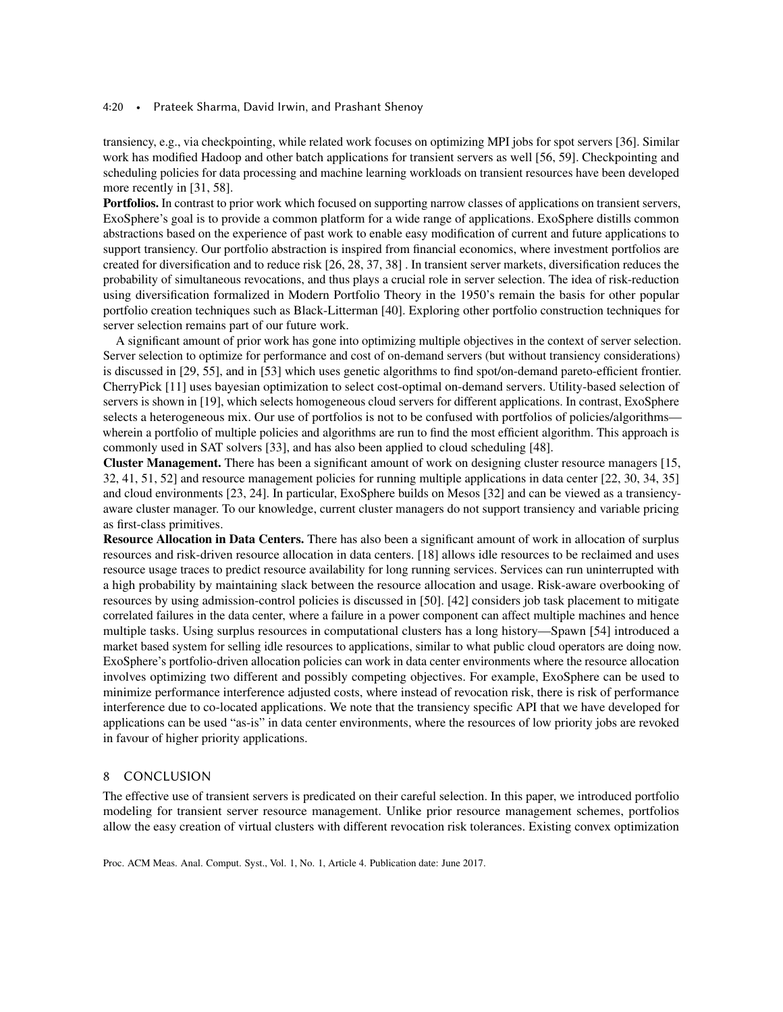#### 4:20 • Prateek Sharma, David Irwin, and Prashant Shenoy

transiency, e.g., via checkpointing, while related work focuses on optimizing MPI jobs for spot servers [\[36\]](#page-21-4). Similar work has modified Hadoop and other batch applications for transient servers as well [\[56,](#page-21-13) [59\]](#page-22-2). Checkpointing and scheduling policies for data processing and machine learning workloads on transient resources have been developed more recently in [\[31,](#page-21-14) [58\]](#page-22-5).

Portfolios. In contrast to prior work which focused on supporting narrow classes of applications on transient servers, ExoSphere's goal is to provide a common platform for a wide range of applications. ExoSphere distills common abstractions based on the experience of past work to enable easy modification of current and future applications to support transiency. Our portfolio abstraction is inspired from financial economics, where investment portfolios are created for diversification and to reduce risk [\[26,](#page-21-15) [28,](#page-21-16) [37,](#page-21-5) [38\]](#page-21-6) . In transient server markets, diversification reduces the probability of simultaneous revocations, and thus plays a crucial role in server selection. The idea of risk-reduction using diversification formalized in Modern Portfolio Theory in the 1950's remain the basis for other popular portfolio creation techniques such as Black-Litterman [\[40\]](#page-21-17). Exploring other portfolio construction techniques for server selection remains part of our future work.

A significant amount of prior work has gone into optimizing multiple objectives in the context of server selection. Server selection to optimize for performance and cost of on-demand servers (but without transiency considerations) is discussed in [\[29,](#page-21-18) [55\]](#page-21-19), and in [\[53\]](#page-21-20) which uses genetic algorithms to find spot/on-demand pareto-efficient frontier. CherryPick [\[11\]](#page-20-19) uses bayesian optimization to select cost-optimal on-demand servers. Utility-based selection of servers is shown in [\[19\]](#page-20-0), which selects homogeneous cloud servers for different applications. In contrast, ExoSphere selects a heterogeneous mix. Our use of portfolios is not to be confused with portfolios of policies/algorithms wherein a portfolio of multiple policies and algorithms are run to find the most efficient algorithm. This approach is commonly used in SAT solvers [\[33\]](#page-21-21), and has also been applied to cloud scheduling [\[48\]](#page-21-22).

Cluster Management. There has been a significant amount of work on designing cluster resource managers [\[15,](#page-20-20) [32,](#page-21-9) [41,](#page-21-23) [51,](#page-21-24) [52\]](#page-21-10) and resource management policies for running multiple applications in data center [\[22,](#page-20-21) [30,](#page-21-25) [34,](#page-21-26) [35\]](#page-21-27) and cloud environments [\[23,](#page-20-22) [24\]](#page-20-23). In particular, ExoSphere builds on Mesos [\[32\]](#page-21-9) and can be viewed as a transiencyaware cluster manager. To our knowledge, current cluster managers do not support transiency and variable pricing as first-class primitives.

Resource Allocation in Data Centers. There has also been a significant amount of work in allocation of surplus resources and risk-driven resource allocation in data centers. [\[18\]](#page-20-24) allows idle resources to be reclaimed and uses resource usage traces to predict resource availability for long running services. Services can run uninterrupted with a high probability by maintaining slack between the resource allocation and usage. Risk-aware overbooking of resources by using admission-control policies is discussed in [\[50\]](#page-21-28). [\[42\]](#page-21-29) considers job task placement to mitigate correlated failures in the data center, where a failure in a power component can affect multiple machines and hence multiple tasks. Using surplus resources in computational clusters has a long history—Spawn [\[54\]](#page-21-30) introduced a market based system for selling idle resources to applications, similar to what public cloud operators are doing now. ExoSphere's portfolio-driven allocation policies can work in data center environments where the resource allocation involves optimizing two different and possibly competing objectives. For example, ExoSphere can be used to minimize performance interference adjusted costs, where instead of revocation risk, there is risk of performance interference due to co-located applications. We note that the transiency specific API that we have developed for applications can be used "as-is" in data center environments, where the resources of low priority jobs are revoked in favour of higher priority applications.

## 8 CONCLUSION

The effective use of transient servers is predicated on their careful selection. In this paper, we introduced portfolio modeling for transient server resource management. Unlike prior resource management schemes, portfolios allow the easy creation of virtual clusters with different revocation risk tolerances. Existing convex optimization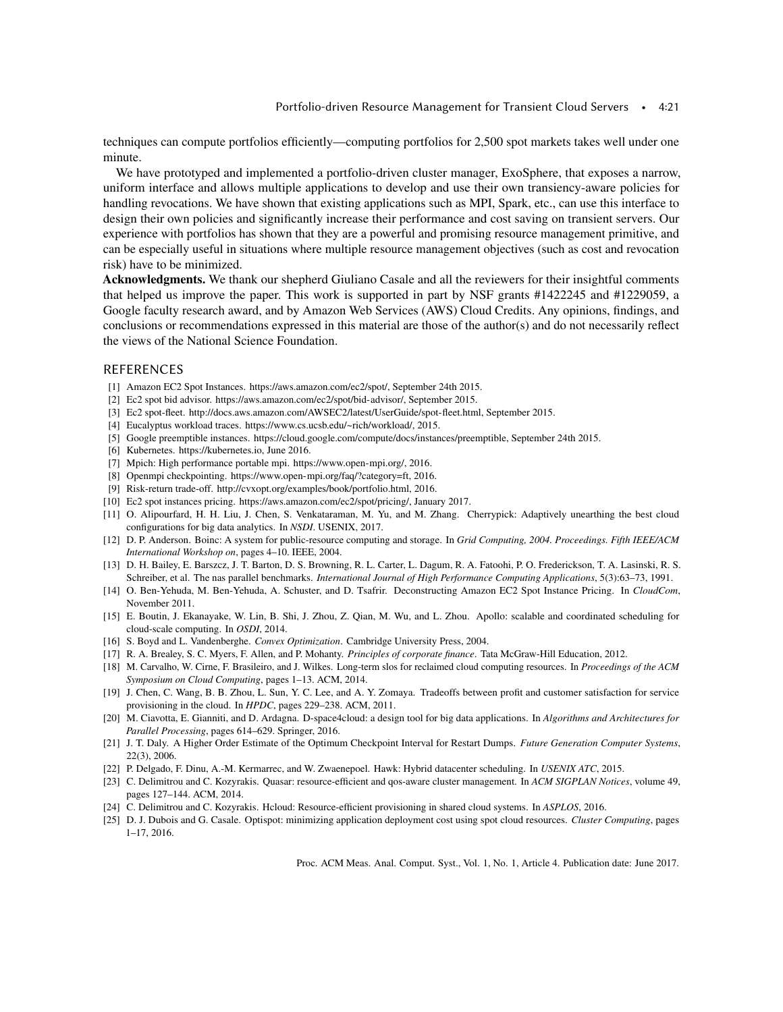techniques can compute portfolios efficiently—computing portfolios for 2,500 spot markets takes well under one minute.

We have prototyped and implemented a portfolio-driven cluster manager, ExoSphere, that exposes a narrow, uniform interface and allows multiple applications to develop and use their own transiency-aware policies for handling revocations. We have shown that existing applications such as MPI, Spark, etc., can use this interface to design their own policies and significantly increase their performance and cost saving on transient servers. Our experience with portfolios has shown that they are a powerful and promising resource management primitive, and can be especially useful in situations where multiple resource management objectives (such as cost and revocation risk) have to be minimized.

Acknowledgments. We thank our shepherd Giuliano Casale and all the reviewers for their insightful comments that helped us improve the paper. This work is supported in part by NSF grants #1422245 and #1229059, a Google faculty research award, and by Amazon Web Services (AWS) Cloud Credits. Any opinions, findings, and conclusions or recommendations expressed in this material are those of the author(s) and do not necessarily reflect the views of the National Science Foundation.

# REFERENCES

- <span id="page-20-4"></span>[1] Amazon EC2 Spot Instances. [https://aws.amazon.com/ec2/spot/,](https://aws.amazon.com/ec2/spot/) September 24th 2015.
- <span id="page-20-8"></span>[2] Ec2 spot bid advisor. [https://aws.amazon.com/ec2/spot/bid-advisor/,](https://aws.amazon.com/ec2/spot/bid-advisor/) September 2015.
- <span id="page-20-7"></span>[3] Ec2 spot-fleet. [http://docs.aws.amazon.com/AWSEC2/latest/UserGuide/spot-fleet.html,](http://docs.aws.amazon.com/AWSEC2/latest/UserGuide/spot-fleet.html) September 2015.
- <span id="page-20-17"></span>[4] Eucalyptus workload traces. [https://www.cs.ucsb.edu/~rich/workload/,](https://www.cs.ucsb.edu/~rich/workload/) 2015.
- <span id="page-20-3"></span>[5] Google preemptible instances. [https://cloud.google.com/compute/docs/instances/preemptible,](https://cloud.google.com/compute/docs/instances/preemptible) September 24th 2015.
- <span id="page-20-2"></span>[6] Kubernetes. [https://kubernetes.io,](https://kubernetes.io) June 2016.
- <span id="page-20-15"></span>[7] Mpich: High performance portable mpi. [https://www.open-mpi.org/,](https://www.open-mpi.org/) 2016.
- <span id="page-20-13"></span>[8] Openmpi checkpointing. [https://www.open-mpi.org/faq/?category=ft,](https://www.open-mpi.org/faq/?category=ft) 2016.
- <span id="page-20-11"></span>[9] Risk-return trade-off. [http://cvxopt.org/examples/book/portfolio.html,](http://cvxopt.org/examples/book/portfolio.html) 2016.
- <span id="page-20-6"></span>[10] Ec2 spot instances pricing. [https://aws.amazon.com/ec2/spot/pricing/,](https://aws.amazon.com/ec2/spot/pricing/) January 2017.
- <span id="page-20-19"></span>[11] O. Alipourfard, H. H. Liu, J. Chen, S. Venkataraman, M. Yu, and M. Zhang. Cherrypick: Adaptively unearthing the best cloud configurations for big data analytics. In *NSDI*. USENIX, 2017.
- <span id="page-20-14"></span>[12] D. P. Anderson. Boinc: A system for public-resource computing and storage. In *Grid Computing, 2004. Proceedings. Fifth IEEE/ACM International Workshop on*, pages 4–10. IEEE, 2004.
- <span id="page-20-16"></span>[13] D. H. Bailey, E. Barszcz, J. T. Barton, D. S. Browning, R. L. Carter, L. Dagum, R. A. Fatoohi, P. O. Frederickson, T. A. Lasinski, R. S. Schreiber, et al. The nas parallel benchmarks. *International Journal of High Performance Computing Applications*, 5(3):63–73, 1991.
- <span id="page-20-5"></span>[14] O. Ben-Yehuda, M. Ben-Yehuda, A. Schuster, and D. Tsafrir. Deconstructing Amazon EC2 Spot Instance Pricing. In *CloudCom*, November 2011.
- <span id="page-20-20"></span>[15] E. Boutin, J. Ekanayake, W. Lin, B. Shi, J. Zhou, Z. Qian, M. Wu, and L. Zhou. Apollo: scalable and coordinated scheduling for cloud-scale computing. In *OSDI*, 2014.
- <span id="page-20-10"></span>[16] S. Boyd and L. Vandenberghe. *Convex Optimization*. Cambridge University Press, 2004.
- <span id="page-20-9"></span>[17] R. A. Brealey, S. C. Myers, F. Allen, and P. Mohanty. *Principles of corporate finance*. Tata McGraw-Hill Education, 2012.
- <span id="page-20-24"></span>[18] M. Carvalho, W. Cirne, F. Brasileiro, and J. Wilkes. Long-term slos for reclaimed cloud computing resources. In *Proceedings of the ACM Symposium on Cloud Computing*, pages 1–13. ACM, 2014.
- <span id="page-20-0"></span>[19] J. Chen, C. Wang, B. B. Zhou, L. Sun, Y. C. Lee, and A. Y. Zomaya. Tradeoffs between profit and customer satisfaction for service provisioning in the cloud. In *HPDC*, pages 229–238. ACM, 2011.
- <span id="page-20-18"></span>[20] M. Ciavotta, E. Gianniti, and D. Ardagna. D-space4cloud: a design tool for big data applications. In *Algorithms and Architectures for Parallel Processing*, pages 614–629. Springer, 2016.
- <span id="page-20-12"></span>[21] J. T. Daly. A Higher Order Estimate of the Optimum Checkpoint Interval for Restart Dumps. *Future Generation Computer Systems*, 22(3), 2006.
- <span id="page-20-21"></span>[22] P. Delgado, F. Dinu, A.-M. Kermarrec, and W. Zwaenepoel. Hawk: Hybrid datacenter scheduling. In *USENIX ATC*, 2015.
- <span id="page-20-22"></span>[23] C. Delimitrou and C. Kozyrakis. Quasar: resource-efficient and qos-aware cluster management. In *ACM SIGPLAN Notices*, volume 49, pages 127–144. ACM, 2014.
- <span id="page-20-23"></span>[24] C. Delimitrou and C. Kozyrakis. Hcloud: Resource-efficient provisioning in shared cloud systems. In *ASPLOS*, 2016.
- <span id="page-20-1"></span>[25] D. J. Dubois and G. Casale. Optispot: minimizing application deployment cost using spot cloud resources. *Cluster Computing*, pages 1–17, 2016.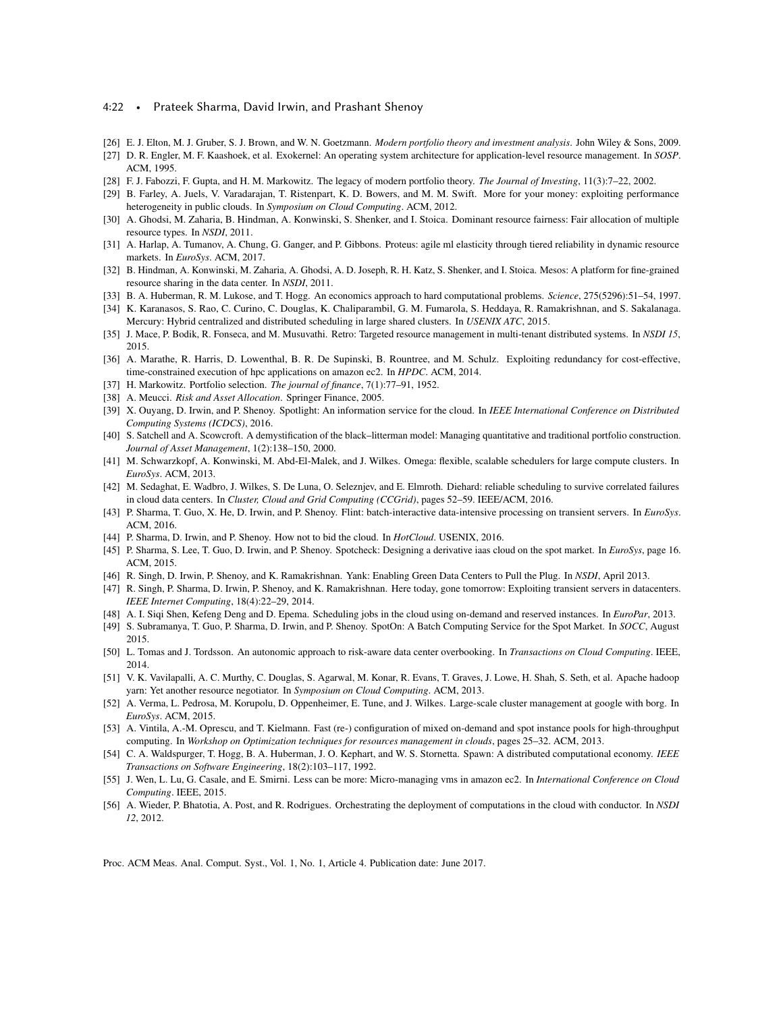#### 4:22 • Prateek Sharma, David Irwin, and Prashant Shenoy

- <span id="page-21-15"></span>[26] E. J. Elton, M. J. Gruber, S. J. Brown, and W. N. Goetzmann. *Modern portfolio theory and investment analysis*. John Wiley & Sons, 2009.
- <span id="page-21-8"></span>[27] D. R. Engler, M. F. Kaashoek, et al. Exokernel: An operating system architecture for application-level resource management. In *SOSP*. ACM, 1995.
- <span id="page-21-16"></span>[28] F. J. Fabozzi, F. Gupta, and H. M. Markowitz. The legacy of modern portfolio theory. *The Journal of Investing*, 11(3):7–22, 2002.
- <span id="page-21-18"></span>[29] B. Farley, A. Juels, V. Varadarajan, T. Ristenpart, K. D. Bowers, and M. M. Swift. More for your money: exploiting performance heterogeneity in public clouds. In *Symposium on Cloud Computing*. ACM, 2012.
- <span id="page-21-25"></span>[30] A. Ghodsi, M. Zaharia, B. Hindman, A. Konwinski, S. Shenker, and I. Stoica. Dominant resource fairness: Fair allocation of multiple resource types. In *NSDI*, 2011.
- <span id="page-21-14"></span>[31] A. Harlap, A. Tumanov, A. Chung, G. Ganger, and P. Gibbons. Proteus: agile ml elasticity through tiered reliability in dynamic resource markets. In *EuroSys*. ACM, 2017.
- <span id="page-21-9"></span>[32] B. Hindman, A. Konwinski, M. Zaharia, A. Ghodsi, A. D. Joseph, R. H. Katz, S. Shenker, and I. Stoica. Mesos: A platform for fine-grained resource sharing in the data center. In *NSDI*, 2011.
- <span id="page-21-21"></span>[33] B. A. Huberman, R. M. Lukose, and T. Hogg. An economics approach to hard computational problems. *Science*, 275(5296):51–54, 1997.
- <span id="page-21-26"></span>[34] K. Karanasos, S. Rao, C. Curino, C. Douglas, K. Chaliparambil, G. M. Fumarola, S. Heddaya, R. Ramakrishnan, and S. Sakalanaga. Mercury: Hybrid centralized and distributed scheduling in large shared clusters. In *USENIX ATC*, 2015.
- <span id="page-21-27"></span>[35] J. Mace, P. Bodik, R. Fonseca, and M. Musuvathi. Retro: Targeted resource management in multi-tenant distributed systems. In *NSDI 15*, 2015.
- <span id="page-21-4"></span>[36] A. Marathe, R. Harris, D. Lowenthal, B. R. De Supinski, B. Rountree, and M. Schulz. Exploiting redundancy for cost-effective, time-constrained execution of hpc applications on amazon ec2. In *HPDC*. ACM, 2014.
- <span id="page-21-5"></span>[37] H. Markowitz. Portfolio selection. *The journal of finance*, 7(1):77–91, 1952.
- <span id="page-21-6"></span>[38] A. Meucci. *Risk and Asset Allocation*. Springer Finance, 2005.
- <span id="page-21-2"></span>[39] X. Ouyang, D. Irwin, and P. Shenoy. Spotlight: An information service for the cloud. In *IEEE International Conference on Distributed Computing Systems (ICDCS)*, 2016.
- <span id="page-21-17"></span>[40] S. Satchell and A. Scowcroft. A demystification of the black–litterman model: Managing quantitative and traditional portfolio construction. *Journal of Asset Management*, 1(2):138–150, 2000.
- <span id="page-21-23"></span>[41] M. Schwarzkopf, A. Konwinski, M. Abd-El-Malek, and J. Wilkes. Omega: flexible, scalable schedulers for large compute clusters. In *EuroSys*. ACM, 2013.
- <span id="page-21-29"></span>[42] M. Sedaghat, E. Wadbro, J. Wilkes, S. De Luna, O. Seleznjev, and E. Elmroth. Diehard: reliable scheduling to survive correlated failures in cloud data centers. In *Cluster, Cloud and Grid Computing (CCGrid)*, pages 52–59. IEEE/ACM, 2016.
- <span id="page-21-3"></span>[43] P. Sharma, T. Guo, X. He, D. Irwin, and P. Shenoy. Flint: batch-interactive data-intensive processing on transient servers. In *EuroSys*. ACM, 2016.
- <span id="page-21-11"></span>[44] P. Sharma, D. Irwin, and P. Shenoy. How not to bid the cloud. In *HotCloud*. USENIX, 2016.
- <span id="page-21-12"></span>[45] P. Sharma, S. Lee, T. Guo, D. Irwin, and P. Shenoy. Spotcheck: Designing a derivative iaas cloud on the spot market. In *EuroSys*, page 16. ACM, 2015.
- <span id="page-21-0"></span>[46] R. Singh, D. Irwin, P. Shenoy, and K. Ramakrishnan. Yank: Enabling Green Data Centers to Pull the Plug. In *NSDI*, April 2013.
- <span id="page-21-1"></span>[47] R. Singh, P. Sharma, D. Irwin, P. Shenoy, and K. Ramakrishnan. Here today, gone tomorrow: Exploiting transient servers in datacenters. *IEEE Internet Computing*, 18(4):22–29, 2014.
- <span id="page-21-22"></span>[48] A. I. Siqi Shen, Kefeng Deng and D. Epema. Scheduling jobs in the cloud using on-demand and reserved instances. In *EuroPar*, 2013.
- <span id="page-21-7"></span>[49] S. Subramanya, T. Guo, P. Sharma, D. Irwin, and P. Shenoy. SpotOn: A Batch Computing Service for the Spot Market. In *SOCC*, August 2015.
- <span id="page-21-28"></span>[50] L. Tomas and J. Tordsson. An autonomic approach to risk-aware data center overbooking. In *Transactions on Cloud Computing*. IEEE, 2014.
- <span id="page-21-24"></span>[51] V. K. Vavilapalli, A. C. Murthy, C. Douglas, S. Agarwal, M. Konar, R. Evans, T. Graves, J. Lowe, H. Shah, S. Seth, et al. Apache hadoop yarn: Yet another resource negotiator. In *Symposium on Cloud Computing*. ACM, 2013.
- <span id="page-21-10"></span>[52] A. Verma, L. Pedrosa, M. Korupolu, D. Oppenheimer, E. Tune, and J. Wilkes. Large-scale cluster management at google with borg. In *EuroSys*. ACM, 2015.
- <span id="page-21-20"></span>[53] A. Vintila, A.-M. Oprescu, and T. Kielmann. Fast (re-) configuration of mixed on-demand and spot instance pools for high-throughput computing. In *Workshop on Optimization techniques for resources management in clouds*, pages 25–32. ACM, 2013.
- <span id="page-21-30"></span>[54] C. A. Waldspurger, T. Hogg, B. A. Huberman, J. O. Kephart, and W. S. Stornetta. Spawn: A distributed computational economy. *IEEE Transactions on Software Engineering*, 18(2):103–117, 1992.
- <span id="page-21-19"></span>[55] J. Wen, L. Lu, G. Casale, and E. Smirni. Less can be more: Micro-managing vms in amazon ec2. In *International Conference on Cloud Computing*. IEEE, 2015.
- <span id="page-21-13"></span>[56] A. Wieder, P. Bhatotia, A. Post, and R. Rodrigues. Orchestrating the deployment of computations in the cloud with conductor. In *NSDI 12*, 2012.